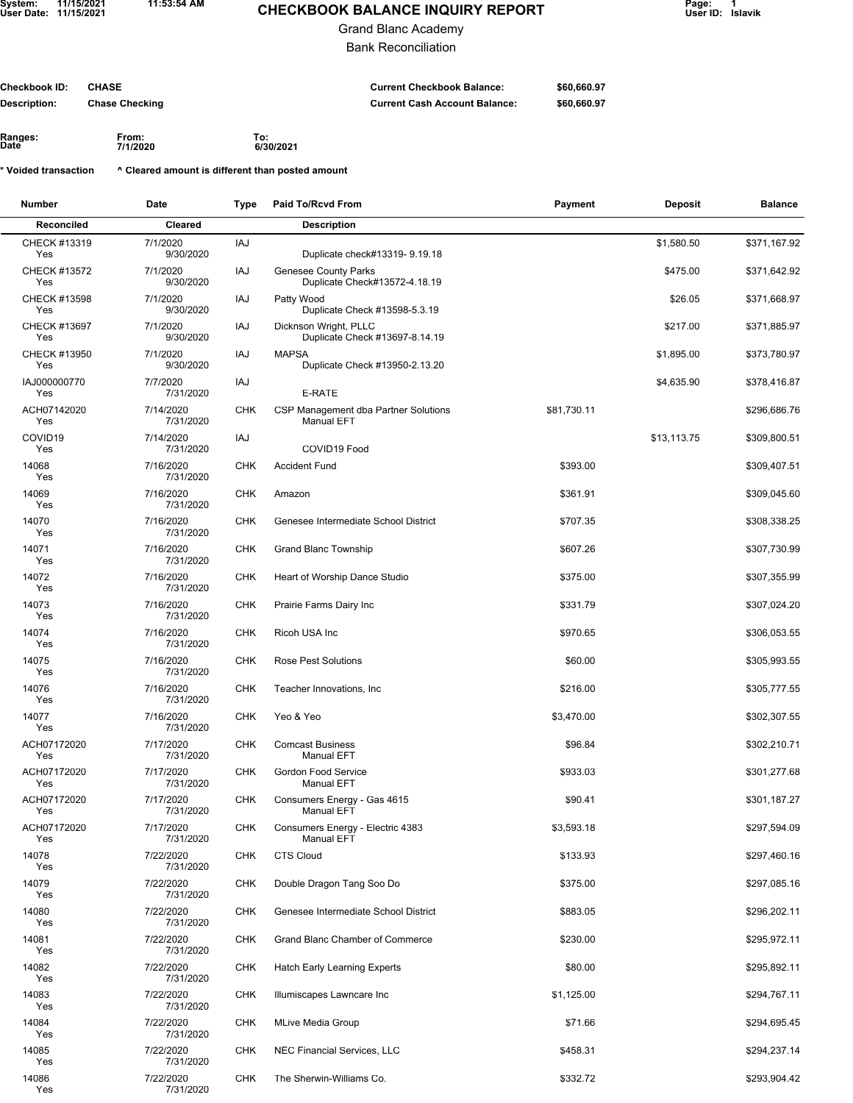**11:53:54 AM**

## **CHECKBOOK BALANCE INQUIRY REPORT**

**\$60,660.97 \$60,660.97** 

Grand Blanc Academy

Bank Reconciliation

**Checkbook ID: Description: Current Checkbook Balance: Current Cash Account Balance: CHASE Chase Checking**

**Ranges: From: To: Date**

**7/1/2020 6/30/2021**

**^ Cleared amount is different than posted amount \* Voided transaction**

| Number              | Date                   | Type       | Paid To/Rcvd From                                            | Payment     | Deposit     | <b>Balance</b> |
|---------------------|------------------------|------------|--------------------------------------------------------------|-------------|-------------|----------------|
| Reconciled          | Cleared                |            | <b>Description</b>                                           |             |             |                |
| CHECK #13319<br>Yes | 7/1/2020<br>9/30/2020  | IAJ        | Duplicate check#13319-9.19.18                                |             | \$1,580.50  | \$371,167.92   |
| CHECK #13572<br>Yes | 7/1/2020<br>9/30/2020  | IAJ        | <b>Genesee County Parks</b><br>Duplicate Check#13572-4.18.19 |             | \$475.00    | \$371,642.92   |
| CHECK #13598<br>Yes | 7/1/2020<br>9/30/2020  | IAJ        | Patty Wood<br>Duplicate Check #13598-5.3.19                  |             | \$26.05     | \$371,668.97   |
| CHECK #13697<br>Yes | 7/1/2020<br>9/30/2020  | IAJ        | Dicknson Wright, PLLC<br>Duplicate Check #13697-8.14.19      |             | \$217.00    | \$371,885.97   |
| CHECK #13950<br>Yes | 7/1/2020<br>9/30/2020  | IAJ        | <b>MAPSA</b><br>Duplicate Check #13950-2.13.20               |             | \$1,895.00  | \$373,780.97   |
| IAJ000000770<br>Yes | 7/7/2020<br>7/31/2020  | IAJ        | E-RATE                                                       |             | \$4,635.90  | \$378,416.87   |
| ACH07142020<br>Yes  | 7/14/2020<br>7/31/2020 | <b>CHK</b> | CSP Management dba Partner Solutions<br><b>Manual EFT</b>    | \$81,730.11 |             | \$296,686.76   |
| COVID19<br>Yes      | 7/14/2020<br>7/31/2020 | <b>IAJ</b> | COVID19 Food                                                 |             | \$13,113.75 | \$309,800.51   |
| 14068<br>Yes        | 7/16/2020<br>7/31/2020 | <b>CHK</b> | <b>Accident Fund</b>                                         | \$393.00    |             | \$309,407.51   |
| 14069<br>Yes        | 7/16/2020<br>7/31/2020 | <b>CHK</b> | Amazon                                                       | \$361.91    |             | \$309,045.60   |
| 14070<br>Yes        | 7/16/2020<br>7/31/2020 | <b>CHK</b> | Genesee Intermediate School District                         | \$707.35    |             | \$308,338.25   |
| 14071<br>Yes        | 7/16/2020<br>7/31/2020 | <b>CHK</b> | <b>Grand Blanc Township</b>                                  | \$607.26    |             | \$307,730.99   |
| 14072<br>Yes        | 7/16/2020<br>7/31/2020 | <b>CHK</b> | Heart of Worship Dance Studio                                | \$375.00    |             | \$307,355.99   |
| 14073<br>Yes        | 7/16/2020<br>7/31/2020 | <b>CHK</b> | Prairie Farms Dairy Inc                                      | \$331.79    |             | \$307,024.20   |
| 14074<br>Yes        | 7/16/2020<br>7/31/2020 | <b>CHK</b> | Ricoh USA Inc                                                | \$970.65    |             | \$306,053.55   |
| 14075<br>Yes        | 7/16/2020<br>7/31/2020 | <b>CHK</b> | <b>Rose Pest Solutions</b>                                   | \$60.00     |             | \$305,993.55   |
| 14076<br>Yes        | 7/16/2020<br>7/31/2020 | <b>CHK</b> | Teacher Innovations, Inc.                                    | \$216.00    |             | \$305,777.55   |
| 14077<br>Yes        | 7/16/2020<br>7/31/2020 | <b>CHK</b> | Yeo & Yeo                                                    | \$3,470.00  |             | \$302,307.55   |
| ACH07172020<br>Yes  | 7/17/2020<br>7/31/2020 | <b>CHK</b> | <b>Comcast Business</b><br><b>Manual EFT</b>                 | \$96.84     |             | \$302,210.71   |
| ACH07172020<br>Yes  | 7/17/2020<br>7/31/2020 | <b>CHK</b> | <b>Gordon Food Service</b><br><b>Manual EFT</b>              | \$933.03    |             | \$301,277.68   |
| ACH07172020<br>Yes  | 7/17/2020<br>7/31/2020 | CHK        | Consumers Energy - Gas 4615<br><b>Manual EFT</b>             | \$90.41     |             | \$301,187.27   |
| ACH07172020<br>Yes  | 7/17/2020<br>7/31/2020 | CHK        | Consumers Energy - Electric 4383<br><b>Manual EFT</b>        | \$3,593.18  |             | \$297,594.09   |
| 14078<br>Yes        | 7/22/2020<br>7/31/2020 | <b>CHK</b> | <b>CTS Cloud</b>                                             | \$133.93    |             | \$297,460.16   |
| 14079<br>Yes        | 7/22/2020<br>7/31/2020 | <b>CHK</b> | Double Dragon Tang Soo Do                                    | \$375.00    |             | \$297,085.16   |
| 14080<br>Yes        | 7/22/2020<br>7/31/2020 | <b>CHK</b> | Genesee Intermediate School District                         | \$883.05    |             | \$296,202.11   |
| 14081<br>Yes        | 7/22/2020<br>7/31/2020 | <b>CHK</b> | Grand Blanc Chamber of Commerce                              | \$230.00    |             | \$295,972.11   |
| 14082<br>Yes        | 7/22/2020<br>7/31/2020 | CHK        | Hatch Early Learning Experts                                 | \$80.00     |             | \$295,892.11   |
| 14083<br>Yes        | 7/22/2020<br>7/31/2020 | <b>CHK</b> | Illumiscapes Lawncare Inc                                    | \$1,125.00  |             | \$294,767.11   |
| 14084<br>Yes        | 7/22/2020<br>7/31/2020 | <b>CHK</b> | <b>MLive Media Group</b>                                     | \$71.66     |             | \$294,695.45   |
| 14085<br>Yes        | 7/22/2020<br>7/31/2020 | CHK        | NEC Financial Services, LLC                                  | \$458.31    |             | \$294,237.14   |
| 14086<br>Yes        | 7/22/2020<br>7/31/2020 | CHK        | The Sherwin-Williams Co.                                     | \$332.72    |             | \$293,904.42   |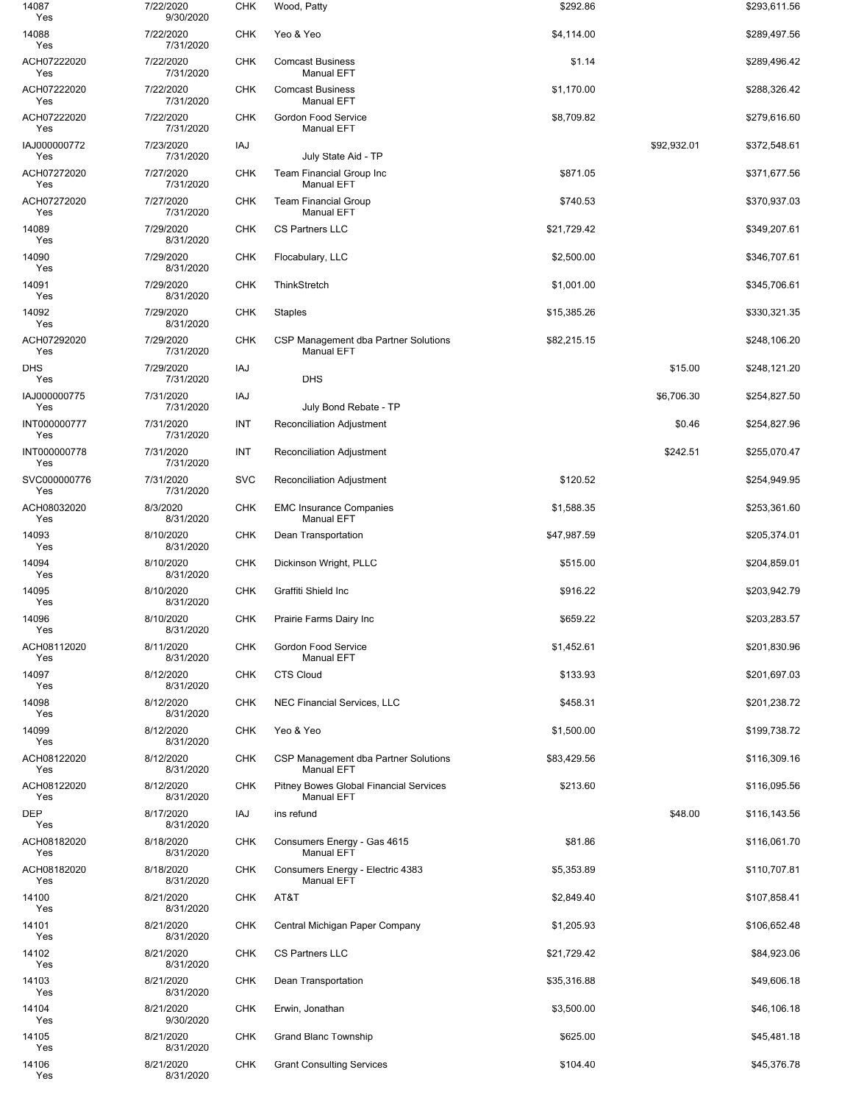| 14087<br>Yes        | 7/22/2020<br>9/30/2020 | <b>CHK</b> | Wood, Patty                                                        | \$292.86    |             | \$293,611.56 |
|---------------------|------------------------|------------|--------------------------------------------------------------------|-------------|-------------|--------------|
| 14088<br>Yes        | 7/22/2020<br>7/31/2020 | <b>CHK</b> | Yeo & Yeo                                                          | \$4,114.00  |             | \$289,497.56 |
| ACH07222020<br>Yes  | 7/22/2020<br>7/31/2020 | <b>CHK</b> | <b>Comcast Business</b><br><b>Manual EFT</b>                       | \$1.14      |             | \$289,496.42 |
| ACH07222020<br>Yes  | 7/22/2020<br>7/31/2020 | <b>CHK</b> | <b>Comcast Business</b><br><b>Manual EFT</b>                       | \$1,170.00  |             | \$288,326.42 |
| ACH07222020<br>Yes  | 7/22/2020<br>7/31/2020 | <b>CHK</b> | Gordon Food Service<br><b>Manual EFT</b>                           | \$8,709.82  |             | \$279,616.60 |
| IAJ000000772<br>Yes | 7/23/2020<br>7/31/2020 | IAJ        | July State Aid - TP                                                |             | \$92,932.01 | \$372,548.61 |
| ACH07272020<br>Yes  | 7/27/2020<br>7/31/2020 | <b>CHK</b> | Team Financial Group Inc<br><b>Manual EFT</b>                      | \$871.05    |             | \$371,677.56 |
| ACH07272020<br>Yes  | 7/27/2020<br>7/31/2020 | <b>CHK</b> | <b>Team Financial Group</b><br><b>Manual EFT</b>                   | \$740.53    |             | \$370,937.03 |
| 14089<br>Yes        | 7/29/2020<br>8/31/2020 | <b>CHK</b> | <b>CS Partners LLC</b>                                             | \$21,729.42 |             | \$349,207.61 |
| 14090<br>Yes        | 7/29/2020<br>8/31/2020 | <b>CHK</b> | Flocabulary, LLC                                                   | \$2,500.00  |             | \$346,707.61 |
| 14091<br>Yes        | 7/29/2020<br>8/31/2020 | <b>CHK</b> | ThinkStretch                                                       | \$1,001.00  |             | \$345,706.61 |
| 14092<br>Yes        | 7/29/2020<br>8/31/2020 | <b>CHK</b> | Staples                                                            | \$15,385.26 |             | \$330,321.35 |
| ACH07292020<br>Yes  | 7/29/2020<br>7/31/2020 | <b>CHK</b> | CSP Management dba Partner Solutions<br><b>Manual EFT</b>          | \$82,215.15 |             | \$248,106.20 |
| DHS<br>Yes          | 7/29/2020<br>7/31/2020 | IAJ        | DHS                                                                |             | \$15.00     | \$248,121.20 |
| IAJ000000775<br>Yes | 7/31/2020<br>7/31/2020 | IAJ        | July Bond Rebate - TP                                              |             | \$6,706.30  | \$254,827.50 |
| INT000000777<br>Yes | 7/31/2020<br>7/31/2020 | INT        | <b>Reconciliation Adjustment</b>                                   |             | \$0.46      | \$254,827.96 |
| INT000000778<br>Yes | 7/31/2020<br>7/31/2020 | INT        | Reconciliation Adjustment                                          |             | \$242.51    | \$255,070.47 |
| SVC000000776<br>Yes | 7/31/2020<br>7/31/2020 | <b>SVC</b> | Reconciliation Adjustment                                          | \$120.52    |             | \$254,949.95 |
| ACH08032020<br>Yes  | 8/3/2020<br>8/31/2020  | <b>CHK</b> | <b>EMC Insurance Companies</b><br><b>Manual EFT</b>                | \$1,588.35  |             | \$253,361.60 |
| 14093<br>Yes        | 8/10/2020<br>8/31/2020 | <b>CHK</b> | Dean Transportation                                                | \$47,987.59 |             | \$205,374.01 |
| 14094<br>Yes        | 8/10/2020<br>8/31/2020 | <b>CHK</b> | Dickinson Wright, PLLC                                             | \$515.00    |             | \$204,859.01 |
| 14095<br>Yes        | 8/10/2020<br>8/31/2020 | <b>CHK</b> | Graffiti Shield Inc                                                | \$916.22    |             | \$203,942.79 |
| 14096<br>Yes        | 8/10/2020<br>8/31/2020 | <b>CHK</b> | Prairie Farms Dairy Inc                                            | \$659.22    |             | \$203,283.57 |
| ACH08112020<br>Yes  | 8/11/2020<br>8/31/2020 | <b>CHK</b> | Gordon Food Service<br><b>Manual EFT</b>                           | \$1,452.61  |             | \$201,830.96 |
| 14097<br>Yes        | 8/12/2020<br>8/31/2020 | <b>CHK</b> | <b>CTS Cloud</b>                                                   | \$133.93    |             | \$201,697.03 |
| 14098<br>Yes        | 8/12/2020<br>8/31/2020 | <b>CHK</b> | NEC Financial Services, LLC                                        | \$458.31    |             | \$201,238.72 |
| 14099<br>Yes        | 8/12/2020<br>8/31/2020 | <b>CHK</b> | Yeo & Yeo                                                          | \$1,500.00  |             | \$199,738.72 |
| ACH08122020<br>Yes  | 8/12/2020<br>8/31/2020 | <b>CHK</b> | CSP Management dba Partner Solutions<br><b>Manual EFT</b>          | \$83,429.56 |             | \$116,309.16 |
| ACH08122020<br>Yes  | 8/12/2020<br>8/31/2020 | <b>CHK</b> | <b>Pitney Bowes Global Financial Services</b><br><b>Manual EFT</b> | \$213.60    |             | \$116,095.56 |
| <b>DEP</b><br>Yes   | 8/17/2020<br>8/31/2020 | IAJ        | ins refund                                                         |             | \$48.00     | \$116,143.56 |
| ACH08182020<br>Yes  | 8/18/2020<br>8/31/2020 | <b>CHK</b> | Consumers Energy - Gas 4615<br><b>Manual EFT</b>                   | \$81.86     |             | \$116,061.70 |
| ACH08182020<br>Yes  | 8/18/2020<br>8/31/2020 | <b>CHK</b> | Consumers Energy - Electric 4383<br><b>Manual EFT</b>              | \$5,353.89  |             | \$110,707.81 |
| 14100<br>Yes        | 8/21/2020<br>8/31/2020 | <b>CHK</b> | AT&T                                                               | \$2,849.40  |             | \$107,858.41 |
| 14101<br>Yes        | 8/21/2020<br>8/31/2020 | <b>CHK</b> | Central Michigan Paper Company                                     | \$1,205.93  |             | \$106,652.48 |
| 14102<br>Yes        | 8/21/2020<br>8/31/2020 | <b>CHK</b> | CS Partners LLC                                                    | \$21,729.42 |             | \$84,923.06  |
| 14103<br>Yes        | 8/21/2020<br>8/31/2020 | <b>CHK</b> | Dean Transportation                                                | \$35,316.88 |             | \$49,606.18  |
| 14104<br>Yes        | 8/21/2020<br>9/30/2020 | <b>CHK</b> | Erwin, Jonathan                                                    | \$3,500.00  |             | \$46,106.18  |
| 14105<br>Yes        | 8/21/2020<br>8/31/2020 | <b>CHK</b> | <b>Grand Blanc Township</b>                                        | \$625.00    |             | \$45,481.18  |
| 14106<br>Yes        | 8/21/2020<br>8/31/2020 | <b>CHK</b> | <b>Grant Consulting Services</b>                                   | \$104.40    |             | \$45,376.78  |
|                     |                        |            |                                                                    |             |             |              |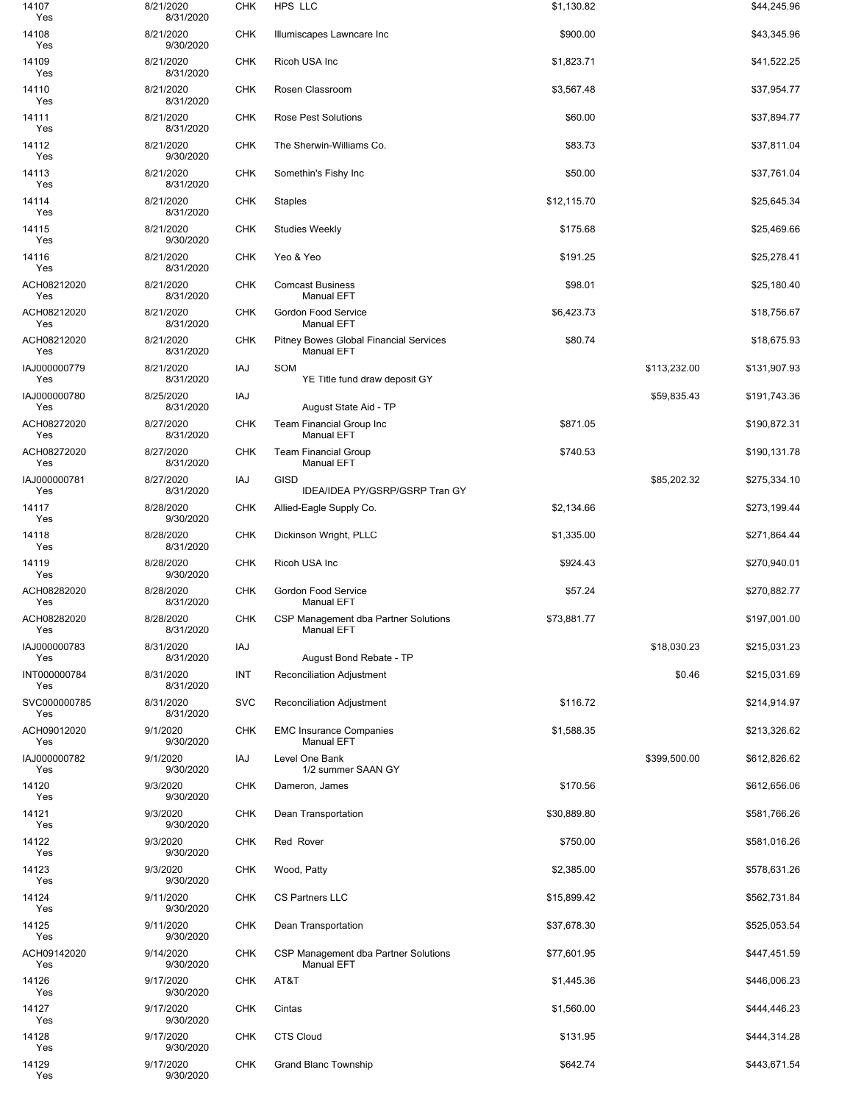| 14107<br>Yes        | 8/21/2020<br>8/31/2020 | <b>CHK</b> | HPS LLC                                                            | \$1,130.82  |              | \$44,245.96  |
|---------------------|------------------------|------------|--------------------------------------------------------------------|-------------|--------------|--------------|
| 14108<br>Yes        | 8/21/2020<br>9/30/2020 | <b>CHK</b> | Illumiscapes Lawncare Inc                                          | \$900.00    |              | \$43,345.96  |
| 14109<br>Yes        | 8/21/2020<br>8/31/2020 | <b>CHK</b> | Ricoh USA Inc                                                      | \$1,823.71  |              | \$41,522.25  |
| 14110<br>Yes        | 8/21/2020<br>8/31/2020 | <b>CHK</b> | Rosen Classroom                                                    | \$3,567.48  |              | \$37,954.77  |
| 14111<br>Yes        | 8/21/2020<br>8/31/2020 | <b>CHK</b> | Rose Pest Solutions                                                | \$60.00     |              | \$37,894.77  |
| 14112<br>Yes        | 8/21/2020<br>9/30/2020 | <b>CHK</b> | The Sherwin-Williams Co.                                           | \$83.73     |              | \$37,811.04  |
| 14113<br>Yes        | 8/21/2020<br>8/31/2020 | <b>CHK</b> | Somethin's Fishy Inc                                               | \$50.00     |              | \$37,761.04  |
| 14114<br>Yes        | 8/21/2020<br>8/31/2020 | <b>CHK</b> | <b>Staples</b>                                                     | \$12,115.70 |              | \$25,645.34  |
| 14115<br>Yes        | 8/21/2020<br>9/30/2020 | <b>CHK</b> | <b>Studies Weekly</b>                                              | \$175.68    |              | \$25,469.66  |
| 14116<br>Yes        | 8/21/2020<br>8/31/2020 | <b>CHK</b> | Yeo & Yeo                                                          | \$191.25    |              | \$25,278.41  |
| ACH08212020<br>Yes  | 8/21/2020<br>8/31/2020 | <b>CHK</b> | <b>Comcast Business</b><br><b>Manual EFT</b>                       | \$98.01     |              | \$25,180.40  |
| ACH08212020<br>Yes  | 8/21/2020<br>8/31/2020 | <b>CHK</b> | Gordon Food Service<br><b>Manual EFT</b>                           | \$6,423.73  |              | \$18,756.67  |
| ACH08212020<br>Yes  | 8/21/2020<br>8/31/2020 | <b>CHK</b> | <b>Pitney Bowes Global Financial Services</b><br><b>Manual EFT</b> | \$80.74     |              | \$18,675.93  |
| IAJ000000779<br>Yes | 8/21/2020<br>8/31/2020 | IAJ        | SOM<br>YE Title fund draw deposit GY                               |             | \$113,232.00 | \$131,907.93 |
| IAJ000000780<br>Yes | 8/25/2020<br>8/31/2020 | IAJ        | August State Aid - TP                                              |             | \$59,835.43  | \$191,743.36 |
| ACH08272020<br>Yes  | 8/27/2020<br>8/31/2020 | <b>CHK</b> | <b>Team Financial Group Inc</b><br><b>Manual EFT</b>               | \$871.05    |              | \$190,872.31 |
| ACH08272020<br>Yes  | 8/27/2020<br>8/31/2020 | <b>CHK</b> | <b>Team Financial Group</b><br><b>Manual EFT</b>                   | \$740.53    |              | \$190,131.78 |
| IAJ000000781<br>Yes | 8/27/2020<br>8/31/2020 | IAJ        | <b>GISD</b><br>IDEA/IDEA PY/GSRP/GSRP Tran GY                      |             | \$85,202.32  | \$275,334.10 |
| 14117<br>Yes        | 8/28/2020<br>9/30/2020 | <b>CHK</b> | Allied-Eagle Supply Co.                                            | \$2,134.66  |              | \$273,199.44 |
| 14118<br>Yes        | 8/28/2020<br>8/31/2020 | <b>CHK</b> | Dickinson Wright, PLLC                                             | \$1,335.00  |              | \$271,864.44 |
| 14119<br>Yes        | 8/28/2020<br>9/30/2020 | <b>CHK</b> | Ricoh USA Inc                                                      | \$924.43    |              | \$270,940.01 |
| ACH08282020<br>Yes  | 8/28/2020<br>8/31/2020 | <b>CHK</b> | Gordon Food Service<br><b>Manual EFT</b>                           | \$57.24     |              | \$270,882.77 |
| ACH08282020<br>Yes  | 8/28/2020<br>8/31/2020 | <b>CHK</b> | CSP Management dba Partner Solutions<br>Manual EFT                 | \$73,881.77 |              | \$197,001.00 |
| IAJ000000783<br>Yes | 8/31/2020<br>8/31/2020 | IAJ        | August Bond Rebate - TP                                            |             | \$18,030.23  | \$215,031.23 |
| INT000000784<br>Yes | 8/31/2020<br>8/31/2020 | INT        | Reconciliation Adjustment                                          |             | \$0.46       | \$215,031.69 |
| SVC000000785<br>Yes | 8/31/2020<br>8/31/2020 | <b>SVC</b> | Reconciliation Adjustment                                          | \$116.72    |              | \$214,914.97 |
| ACH09012020<br>Yes  | 9/1/2020<br>9/30/2020  | <b>CHK</b> | <b>EMC Insurance Companies</b><br>Manual EFT                       | \$1,588.35  |              | \$213,326.62 |
| IAJ000000782<br>Yes | 9/1/2020<br>9/30/2020  | IAJ        | Level One Bank<br>1/2 summer SAAN GY                               |             | \$399,500.00 | \$612,826.62 |
| 14120<br>Yes        | 9/3/2020<br>9/30/2020  | <b>CHK</b> | Dameron, James                                                     | \$170.56    |              | \$612,656.06 |
| 14121<br>Yes        | 9/3/2020<br>9/30/2020  | <b>CHK</b> | Dean Transportation                                                | \$30,889.80 |              | \$581,766.26 |
| 14122<br>Yes        | 9/3/2020<br>9/30/2020  | <b>CHK</b> | Red Rover                                                          | \$750.00    |              | \$581,016.26 |
| 14123<br>Yes        | 9/3/2020<br>9/30/2020  | <b>CHK</b> | Wood, Patty                                                        | \$2,385.00  |              | \$578,631.26 |
| 14124<br>Yes        | 9/11/2020<br>9/30/2020 | <b>CHK</b> | CS Partners LLC                                                    | \$15,899.42 |              | \$562,731.84 |
| 14125<br>Yes        | 9/11/2020<br>9/30/2020 | <b>CHK</b> | Dean Transportation                                                | \$37,678.30 |              | \$525,053.54 |
| ACH09142020<br>Yes  | 9/14/2020<br>9/30/2020 | CHK        | CSP Management dba Partner Solutions<br><b>Manual EFT</b>          | \$77,601.95 |              | \$447,451.59 |
| 14126<br>Yes        | 9/17/2020<br>9/30/2020 | <b>CHK</b> | AT&T                                                               | \$1,445.36  |              | \$446,006.23 |
| 14127<br>Yes        | 9/17/2020<br>9/30/2020 | <b>CHK</b> | Cintas                                                             | \$1,560.00  |              | \$444,446.23 |
| 14128<br>Yes        | 9/17/2020<br>9/30/2020 | <b>CHK</b> | <b>CTS Cloud</b>                                                   | \$131.95    |              | \$444,314.28 |
| 14129<br>Yes        | 9/17/2020<br>9/30/2020 | <b>CHK</b> | <b>Grand Blanc Township</b>                                        | \$642.74    |              | \$443,671.54 |
|                     |                        |            |                                                                    |             |              |              |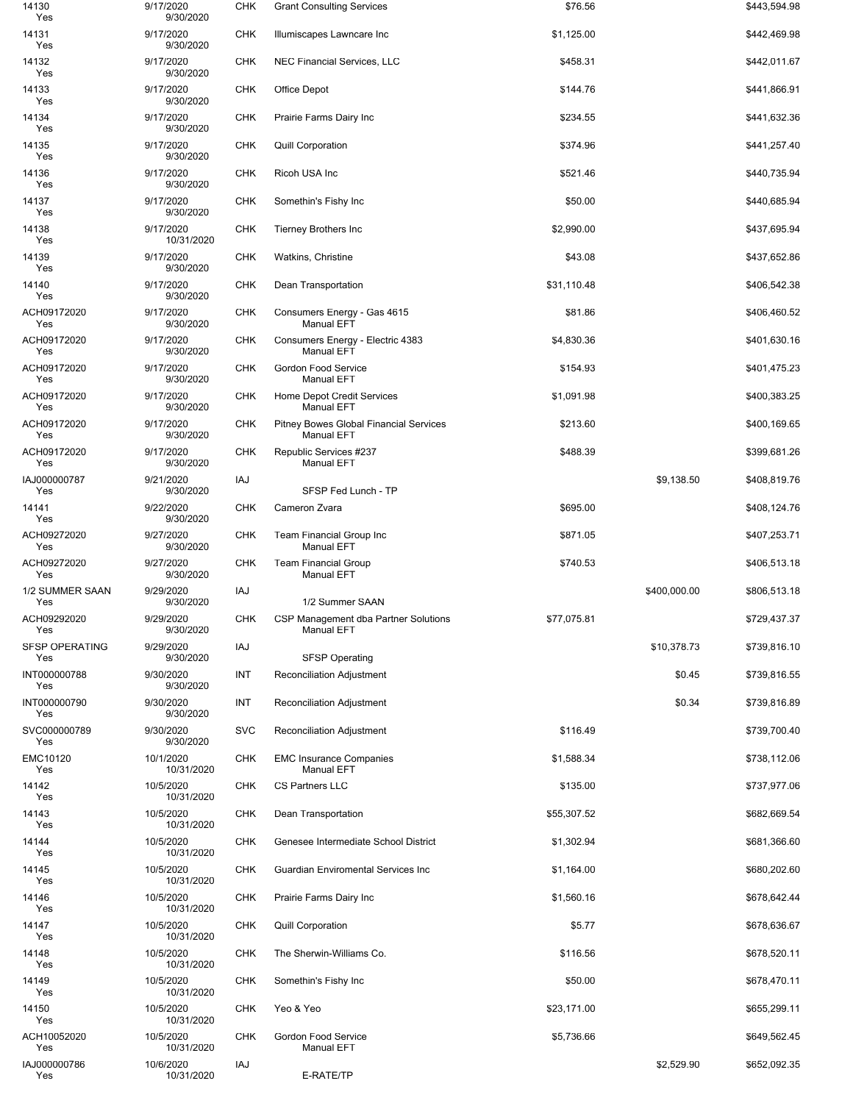| 14130<br>Yes                 | 9/17/2020<br>9/30/2020  | <b>CHK</b> | <b>Grant Consulting Services</b>                            | \$76.56     |              | \$443,594.98 |
|------------------------------|-------------------------|------------|-------------------------------------------------------------|-------------|--------------|--------------|
| 14131<br>Yes                 | 9/17/2020<br>9/30/2020  | <b>CHK</b> | Illumiscapes Lawncare Inc                                   | \$1,125.00  |              | \$442,469.98 |
| 14132<br>Yes                 | 9/17/2020<br>9/30/2020  | <b>CHK</b> | NEC Financial Services, LLC                                 | \$458.31    |              | \$442,011.67 |
| 14133<br>Yes                 | 9/17/2020<br>9/30/2020  | <b>CHK</b> | Office Depot                                                | \$144.76    |              | \$441,866.91 |
| 14134<br>Yes                 | 9/17/2020<br>9/30/2020  | <b>CHK</b> | Prairie Farms Dairy Inc                                     | \$234.55    |              | \$441,632.36 |
| 14135<br>Yes                 | 9/17/2020<br>9/30/2020  | <b>CHK</b> | <b>Quill Corporation</b>                                    | \$374.96    |              | \$441,257.40 |
| 14136<br>Yes                 | 9/17/2020<br>9/30/2020  | <b>CHK</b> | Ricoh USA Inc                                               | \$521.46    |              | \$440,735.94 |
| 14137<br>Yes                 | 9/17/2020<br>9/30/2020  | <b>CHK</b> | Somethin's Fishy Inc                                        | \$50.00     |              | \$440,685.94 |
| 14138<br>Yes                 | 9/17/2020<br>10/31/2020 | <b>CHK</b> | <b>Tierney Brothers Inc</b>                                 | \$2,990.00  |              | \$437,695.94 |
| 14139<br>Yes                 | 9/17/2020<br>9/30/2020  | <b>CHK</b> | Watkins, Christine                                          | \$43.08     |              | \$437,652.86 |
| 14140<br>Yes                 | 9/17/2020<br>9/30/2020  | <b>CHK</b> | Dean Transportation                                         | \$31,110.48 |              | \$406,542.38 |
| ACH09172020<br>Yes           | 9/17/2020<br>9/30/2020  | <b>CHK</b> | Consumers Energy - Gas 4615<br><b>Manual EFT</b>            | \$81.86     |              | \$406,460.52 |
| ACH09172020<br>Yes           | 9/17/2020<br>9/30/2020  | <b>CHK</b> | Consumers Energy - Electric 4383<br><b>Manual EFT</b>       | \$4,830.36  |              | \$401,630.16 |
| ACH09172020<br>Yes           | 9/17/2020<br>9/30/2020  | <b>CHK</b> | Gordon Food Service<br><b>Manual EFT</b>                    | \$154.93    |              | \$401,475.23 |
| ACH09172020<br>Yes           | 9/17/2020<br>9/30/2020  | <b>CHK</b> | Home Depot Credit Services<br><b>Manual EFT</b>             | \$1,091.98  |              | \$400,383.25 |
| ACH09172020<br>Yes           | 9/17/2020<br>9/30/2020  | <b>CHK</b> | Pitney Bowes Global Financial Services<br><b>Manual EFT</b> | \$213.60    |              | \$400,169.65 |
| ACH09172020<br>Yes           | 9/17/2020<br>9/30/2020  | <b>CHK</b> | Republic Services #237<br><b>Manual EFT</b>                 | \$488.39    |              | \$399,681.26 |
| IAJ000000787<br>Yes          | 9/21/2020<br>9/30/2020  | IAJ        | SFSP Fed Lunch - TP                                         |             | \$9,138.50   | \$408,819.76 |
| 14141<br>Yes                 | 9/22/2020<br>9/30/2020  | <b>CHK</b> | Cameron Zvara                                               | \$695.00    |              | \$408,124.76 |
| ACH09272020<br>Yes           | 9/27/2020<br>9/30/2020  | <b>CHK</b> | Team Financial Group Inc<br>Manual EFT                      | \$871.05    |              | \$407,253.71 |
| ACH09272020<br>Yes           | 9/27/2020<br>9/30/2020  | <b>CHK</b> | <b>Team Financial Group</b><br><b>Manual EFT</b>            | \$740.53    |              | \$406,513.18 |
| 1/2 SUMMER SAAN<br>Yes       | 9/29/2020<br>9/30/2020  | IAJ        | 1/2 Summer SAAN                                             |             | \$400,000.00 | \$806,513.18 |
| ACH09292020<br>Yes           | 9/29/2020<br>9/30/2020  | <b>CHK</b> | CSP Management dba Partner Solutions<br>Manual EFT          | \$77,075.81 |              | \$729,437.37 |
| <b>SFSP OPERATING</b><br>Yes | 9/29/2020<br>9/30/2020  | IAJ        | <b>SFSP Operating</b>                                       |             | \$10,378.73  | \$739,816.10 |
| INT000000788<br>Yes          | 9/30/2020<br>9/30/2020  | INT        | <b>Reconciliation Adjustment</b>                            |             | \$0.45       | \$739,816.55 |
| INT000000790<br>Yes          | 9/30/2020<br>9/30/2020  | INT        | Reconciliation Adjustment                                   |             | \$0.34       | \$739,816.89 |
| SVC000000789<br>Yes          | 9/30/2020<br>9/30/2020  | <b>SVC</b> | <b>Reconciliation Adjustment</b>                            | \$116.49    |              | \$739,700.40 |
| EMC10120<br>Yes              | 10/1/2020<br>10/31/2020 | <b>CHK</b> | <b>EMC Insurance Companies</b><br><b>Manual EFT</b>         | \$1,588.34  |              | \$738,112.06 |
| 14142<br>Yes                 | 10/5/2020<br>10/31/2020 | <b>CHK</b> | <b>CS Partners LLC</b>                                      | \$135.00    |              | \$737,977.06 |
| 14143<br>Yes                 | 10/5/2020<br>10/31/2020 | <b>CHK</b> | Dean Transportation                                         | \$55,307.52 |              | \$682,669.54 |
| 14144<br>Yes                 | 10/5/2020<br>10/31/2020 | <b>CHK</b> | Genesee Intermediate School District                        | \$1,302.94  |              | \$681,366.60 |
| 14145<br>Yes                 | 10/5/2020<br>10/31/2020 | CHK        | Guardian Enviromental Services Inc                          | \$1,164.00  |              | \$680,202.60 |
| 14146<br>Yes                 | 10/5/2020<br>10/31/2020 | <b>CHK</b> | Prairie Farms Dairy Inc                                     | \$1,560.16  |              | \$678,642.44 |
| 14147<br>Yes                 | 10/5/2020<br>10/31/2020 | <b>CHK</b> | <b>Quill Corporation</b>                                    | \$5.77      |              | \$678,636.67 |
| 14148<br>Yes                 | 10/5/2020<br>10/31/2020 | <b>CHK</b> | The Sherwin-Williams Co.                                    | \$116.56    |              | \$678,520.11 |
| 14149<br>Yes                 | 10/5/2020<br>10/31/2020 | <b>CHK</b> | Somethin's Fishy Inc                                        | \$50.00     |              | \$678,470.11 |
| 14150<br>Yes                 | 10/5/2020<br>10/31/2020 | <b>CHK</b> | Yeo & Yeo                                                   | \$23,171.00 |              | \$655,299.11 |
| ACH10052020<br>Yes           | 10/5/2020<br>10/31/2020 | <b>CHK</b> | Gordon Food Service<br><b>Manual EFT</b>                    | \$5,736.66  |              | \$649,562.45 |
| IAJ000000786<br>Yes          | 10/6/2020<br>10/31/2020 | IAJ        | E-RATE/TP                                                   |             | \$2,529.90   | \$652,092.35 |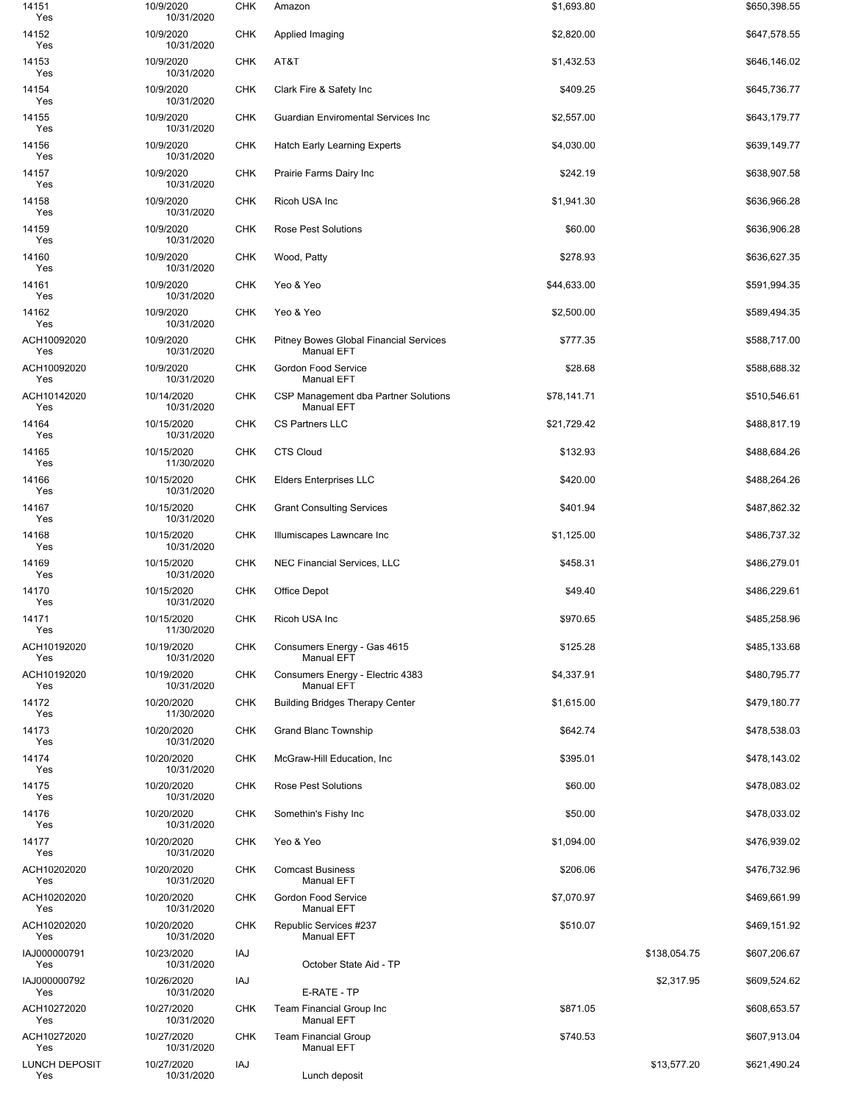| 14151<br>Yes                | 10/9/2020<br>10/31/2020  | <b>CHK</b> | Amazon                                                             | \$1,693.80  |              | \$650,398.55 |
|-----------------------------|--------------------------|------------|--------------------------------------------------------------------|-------------|--------------|--------------|
| 14152<br>Yes                | 10/9/2020<br>10/31/2020  | <b>CHK</b> | Applied Imaging                                                    | \$2,820.00  |              | \$647,578.55 |
| 14153<br>Yes                | 10/9/2020<br>10/31/2020  | <b>CHK</b> | AT&T                                                               | \$1,432.53  |              | \$646,146.02 |
| 14154<br>Yes                | 10/9/2020<br>10/31/2020  | <b>CHK</b> | Clark Fire & Safety Inc                                            | \$409.25    |              | \$645,736.77 |
| 14155<br>Yes                | 10/9/2020<br>10/31/2020  | <b>CHK</b> | Guardian Enviromental Services Inc                                 | \$2,557.00  |              | \$643,179.77 |
| 14156<br>Yes                | 10/9/2020<br>10/31/2020  | <b>CHK</b> | Hatch Early Learning Experts                                       | \$4,030.00  |              | \$639,149.77 |
| 14157<br>Yes                | 10/9/2020<br>10/31/2020  | <b>CHK</b> | Prairie Farms Dairy Inc                                            | \$242.19    |              | \$638,907.58 |
| 14158<br>Yes                | 10/9/2020<br>10/31/2020  | <b>CHK</b> | Ricoh USA Inc                                                      | \$1,941.30  |              | \$636,966.28 |
| 14159<br>Yes                | 10/9/2020<br>10/31/2020  | <b>CHK</b> | Rose Pest Solutions                                                | \$60.00     |              | \$636,906.28 |
| 14160<br>Yes                | 10/9/2020<br>10/31/2020  | <b>CHK</b> | Wood, Patty                                                        | \$278.93    |              | \$636,627.35 |
| 14161<br>Yes                | 10/9/2020<br>10/31/2020  | <b>CHK</b> | Yeo & Yeo                                                          | \$44,633.00 |              | \$591,994.35 |
| 14162<br>Yes                | 10/9/2020<br>10/31/2020  | <b>CHK</b> | Yeo & Yeo                                                          | \$2,500.00  |              | \$589,494.35 |
| ACH10092020<br>Yes          | 10/9/2020<br>10/31/2020  | <b>CHK</b> | <b>Pitney Bowes Global Financial Services</b><br><b>Manual EFT</b> | \$777.35    |              | \$588,717.00 |
| ACH10092020<br>Yes          | 10/9/2020<br>10/31/2020  | <b>CHK</b> | Gordon Food Service<br><b>Manual EFT</b>                           | \$28.68     |              | \$588,688.32 |
| ACH10142020<br>Yes          | 10/14/2020<br>10/31/2020 | <b>CHK</b> | CSP Management dba Partner Solutions<br><b>Manual EFT</b>          | \$78,141.71 |              | \$510,546.61 |
| 14164<br>Yes                | 10/15/2020<br>10/31/2020 | <b>CHK</b> | CS Partners LLC                                                    | \$21,729.42 |              | \$488,817.19 |
| 14165<br>Yes                | 10/15/2020<br>11/30/2020 | <b>CHK</b> | <b>CTS Cloud</b>                                                   | \$132.93    |              | \$488,684.26 |
| 14166<br>Yes                | 10/15/2020<br>10/31/2020 | <b>CHK</b> | <b>Elders Enterprises LLC</b>                                      | \$420.00    |              | \$488,264.26 |
| 14167<br>Yes                | 10/15/2020<br>10/31/2020 | <b>CHK</b> | <b>Grant Consulting Services</b>                                   | \$401.94    |              | \$487,862.32 |
| 14168<br>Yes                | 10/15/2020<br>10/31/2020 | <b>CHK</b> | Illumiscapes Lawncare Inc                                          | \$1,125.00  |              | \$486,737.32 |
| 14169<br>Yes                | 10/15/2020<br>10/31/2020 | <b>CHK</b> | <b>NEC Financial Services, LLC</b>                                 | \$458.31    |              | \$486,279.01 |
| 14170<br>Yes                | 10/15/2020<br>10/31/2020 | <b>CHK</b> | Office Depot                                                       | \$49.40     |              | \$486,229.61 |
| 14171<br>Yes                | 10/15/2020<br>11/30/2020 | <b>CHK</b> | Ricoh USA Inc                                                      | \$970.65    |              | \$485,258.96 |
| ACH10192020<br>Yes          | 10/19/2020<br>10/31/2020 | <b>CHK</b> | Consumers Energy - Gas 4615<br><b>Manual EFT</b>                   | \$125.28    |              | \$485,133.68 |
| ACH10192020<br>Yes          | 10/19/2020<br>10/31/2020 | <b>CHK</b> | Consumers Energy - Electric 4383<br><b>Manual EFT</b>              | \$4,337.91  |              | \$480,795.77 |
| 14172<br>Yes                | 10/20/2020<br>11/30/2020 | <b>CHK</b> | <b>Building Bridges Therapy Center</b>                             | \$1,615.00  |              | \$479,180.77 |
| 14173<br>Yes                | 10/20/2020<br>10/31/2020 | <b>CHK</b> | <b>Grand Blanc Township</b>                                        | \$642.74    |              | \$478,538.03 |
| 14174<br>Yes                | 10/20/2020<br>10/31/2020 | <b>CHK</b> | McGraw-Hill Education, Inc                                         | \$395.01    |              | \$478,143.02 |
| 14175<br>Yes                | 10/20/2020<br>10/31/2020 | <b>CHK</b> | <b>Rose Pest Solutions</b>                                         | \$60.00     |              | \$478,083.02 |
| 14176<br>Yes                | 10/20/2020<br>10/31/2020 | <b>CHK</b> | Somethin's Fishy Inc                                               | \$50.00     |              | \$478,033.02 |
| 14177<br>Yes                | 10/20/2020<br>10/31/2020 | <b>CHK</b> | Yeo & Yeo                                                          | \$1,094.00  |              | \$476,939.02 |
| ACH10202020<br>Yes          | 10/20/2020<br>10/31/2020 | <b>CHK</b> | <b>Comcast Business</b><br><b>Manual EFT</b>                       | \$206.06    |              | \$476,732.96 |
| ACH10202020<br>Yes          | 10/20/2020<br>10/31/2020 | <b>CHK</b> | <b>Gordon Food Service</b><br>Manual EFT                           | \$7,070.97  |              | \$469,661.99 |
| ACH10202020<br>Yes          | 10/20/2020<br>10/31/2020 | <b>CHK</b> | Republic Services #237<br><b>Manual EFT</b>                        | \$510.07    |              | \$469,151.92 |
| IAJ000000791<br>Yes         | 10/23/2020<br>10/31/2020 | IAJ        | October State Aid - TP                                             |             | \$138,054.75 | \$607,206.67 |
| IAJ000000792<br>Yes         | 10/26/2020<br>10/31/2020 | IAJ        | E-RATE - TP                                                        |             | \$2,317.95   | \$609,524.62 |
| ACH10272020<br>Yes          | 10/27/2020<br>10/31/2020 | <b>CHK</b> | Team Financial Group Inc<br><b>Manual EFT</b>                      | \$871.05    |              | \$608,653.57 |
| ACH10272020<br>Yes          | 10/27/2020<br>10/31/2020 | <b>CHK</b> | <b>Team Financial Group</b><br><b>Manual EFT</b>                   | \$740.53    |              | \$607,913.04 |
| <b>LUNCH DEPOSIT</b><br>Yes | 10/27/2020<br>10/31/2020 | IAJ        | Lunch deposit                                                      |             | \$13,577.20  | \$621,490.24 |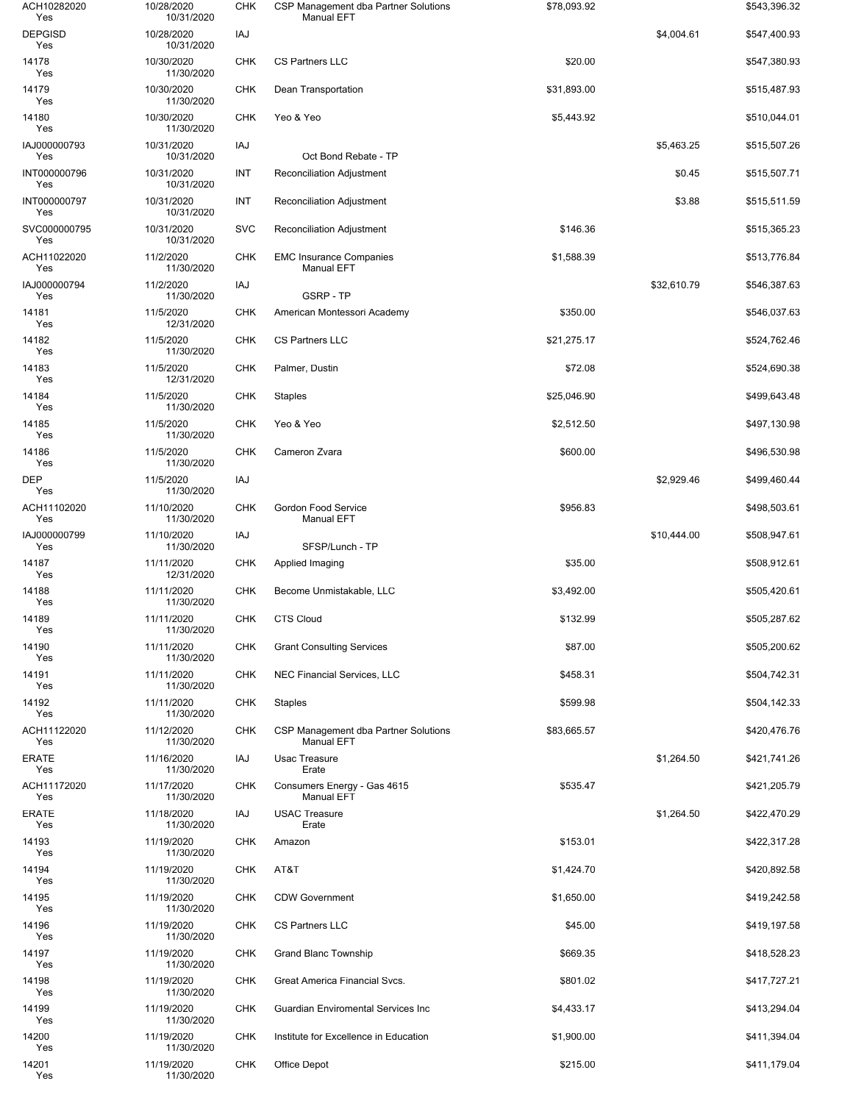| ACH10282020<br>Yes    | 10/28/2020<br>10/31/2020 | <b>CHK</b> | CSP Management dba Partner Solutions<br><b>Manual EFT</b> | \$78,093.92 |             | \$543,396.32 |
|-----------------------|--------------------------|------------|-----------------------------------------------------------|-------------|-------------|--------------|
| <b>DEPGISD</b><br>Yes | 10/28/2020<br>10/31/2020 | IAJ        |                                                           |             | \$4,004.61  | \$547,400.93 |
| 14178<br>Yes          | 10/30/2020<br>11/30/2020 | <b>CHK</b> | <b>CS Partners LLC</b>                                    | \$20.00     |             | \$547,380.93 |
| 14179<br>Yes          | 10/30/2020<br>11/30/2020 | <b>CHK</b> | Dean Transportation                                       | \$31,893.00 |             | \$515,487.93 |
| 14180<br>Yes          | 10/30/2020<br>11/30/2020 | <b>CHK</b> | Yeo & Yeo                                                 | \$5,443.92  |             | \$510,044.01 |
| IAJ000000793<br>Yes   | 10/31/2020<br>10/31/2020 | IAJ        | Oct Bond Rebate - TP                                      |             | \$5,463.25  | \$515,507.26 |
| INT000000796<br>Yes   | 10/31/2020<br>10/31/2020 | INT        | <b>Reconciliation Adjustment</b>                          |             | \$0.45      | \$515,507.71 |
| INT000000797<br>Yes   | 10/31/2020<br>10/31/2020 | INT        | Reconciliation Adjustment                                 |             | \$3.88      | \$515,511.59 |
| SVC000000795<br>Yes   | 10/31/2020<br>10/31/2020 | <b>SVC</b> | Reconciliation Adjustment                                 | \$146.36    |             | \$515,365.23 |
| ACH11022020<br>Yes    | 11/2/2020<br>11/30/2020  | <b>CHK</b> | <b>EMC Insurance Companies</b><br><b>Manual EFT</b>       | \$1,588.39  |             | \$513,776.84 |
| IAJ000000794<br>Yes   | 11/2/2020<br>11/30/2020  | IAJ        | <b>GSRP - TP</b>                                          |             | \$32,610.79 | \$546,387.63 |
| 14181<br>Yes          | 11/5/2020<br>12/31/2020  | <b>CHK</b> | American Montessori Academy                               | \$350.00    |             | \$546,037.63 |
| 14182<br>Yes          | 11/5/2020<br>11/30/2020  | <b>CHK</b> | <b>CS Partners LLC</b>                                    | \$21,275.17 |             | \$524,762.46 |
| 14183<br>Yes          | 11/5/2020<br>12/31/2020  | <b>CHK</b> | Palmer, Dustin                                            | \$72.08     |             | \$524,690.38 |
| 14184<br>Yes          | 11/5/2020<br>11/30/2020  | <b>CHK</b> | <b>Staples</b>                                            | \$25,046.90 |             | \$499,643.48 |
| 14185<br>Yes          | 11/5/2020<br>11/30/2020  | <b>CHK</b> | Yeo & Yeo                                                 | \$2,512.50  |             | \$497,130.98 |
| 14186<br>Yes          | 11/5/2020<br>11/30/2020  | <b>CHK</b> | Cameron Zvara                                             | \$600.00    |             | \$496,530.98 |
| <b>DEP</b><br>Yes     | 11/5/2020<br>11/30/2020  | IAJ        |                                                           |             | \$2,929.46  | \$499,460.44 |
| ACH11102020<br>Yes    | 11/10/2020<br>11/30/2020 | <b>CHK</b> | Gordon Food Service<br><b>Manual EFT</b>                  | \$956.83    |             | \$498,503.61 |
| IAJ000000799<br>Yes   | 11/10/2020<br>11/30/2020 | IAJ        | SFSP/Lunch - TP                                           |             | \$10,444.00 | \$508,947.61 |
| 14187<br>Yes          | 11/11/2020<br>12/31/2020 | <b>CHK</b> | Applied Imaging                                           | \$35.00     |             | \$508,912.61 |
| 14188<br>Yes          | 11/11/2020<br>11/30/2020 | <b>CHK</b> | Become Unmistakable, LLC                                  | \$3,492.00  |             | \$505,420.61 |
| 14189<br>Yes          | 11/11/2020<br>11/30/2020 | CHK        | <b>CTS Cloud</b>                                          | \$132.99    |             | \$505,287.62 |
| 14190<br>Yes          | 11/11/2020<br>11/30/2020 | <b>CHK</b> | <b>Grant Consulting Services</b>                          | \$87.00     |             | \$505,200.62 |
| 14191<br>Yes          | 11/11/2020<br>11/30/2020 | <b>CHK</b> | <b>NEC Financial Services, LLC</b>                        | \$458.31    |             | \$504,742.31 |
| 14192<br>Yes          | 11/11/2020<br>11/30/2020 | CHK        | <b>Staples</b>                                            | \$599.98    |             | \$504,142.33 |
| ACH11122020<br>Yes    | 11/12/2020<br>11/30/2020 | <b>CHK</b> | CSP Management dba Partner Solutions<br><b>Manual EFT</b> | \$83,665.57 |             | \$420,476.76 |
| <b>ERATE</b><br>Yes   | 11/16/2020<br>11/30/2020 | IAJ        | Usac Treasure<br>Erate                                    |             | \$1,264.50  | \$421,741.26 |
| ACH11172020<br>Yes    | 11/17/2020<br>11/30/2020 | <b>CHK</b> | Consumers Energy - Gas 4615<br><b>Manual EFT</b>          | \$535.47    |             | \$421,205.79 |
| <b>ERATE</b><br>Yes   | 11/18/2020<br>11/30/2020 | IAJ        | <b>USAC Treasure</b><br>Erate                             |             | \$1,264.50  | \$422,470.29 |
| 14193<br>Yes          | 11/19/2020<br>11/30/2020 | <b>CHK</b> | Amazon                                                    | \$153.01    |             | \$422,317.28 |
| 14194<br>Yes          | 11/19/2020<br>11/30/2020 | CHK        | AT&T                                                      | \$1,424.70  |             | \$420,892.58 |
| 14195<br>Yes          | 11/19/2020<br>11/30/2020 | <b>CHK</b> | <b>CDW Government</b>                                     | \$1,650.00  |             | \$419,242.58 |
| 14196<br>Yes          | 11/19/2020<br>11/30/2020 | <b>CHK</b> | <b>CS Partners LLC</b>                                    | \$45.00     |             | \$419,197.58 |
| 14197<br>Yes          | 11/19/2020<br>11/30/2020 | <b>CHK</b> | Grand Blanc Township                                      | \$669.35    |             | \$418,528.23 |
| 14198<br>Yes          | 11/19/2020<br>11/30/2020 | <b>CHK</b> | Great America Financial Svcs.                             | \$801.02    |             | \$417,727.21 |
| 14199<br>Yes          | 11/19/2020<br>11/30/2020 | <b>CHK</b> | <b>Guardian Enviromental Services Inc.</b>                | \$4,433.17  |             | \$413,294.04 |
| 14200<br>Yes          | 11/19/2020<br>11/30/2020 | <b>CHK</b> | Institute for Excellence in Education                     | \$1,900.00  |             | \$411,394.04 |
| 14201<br>Yes          | 11/19/2020<br>11/30/2020 | <b>CHK</b> | <b>Office Depot</b>                                       | \$215.00    |             | \$411,179.04 |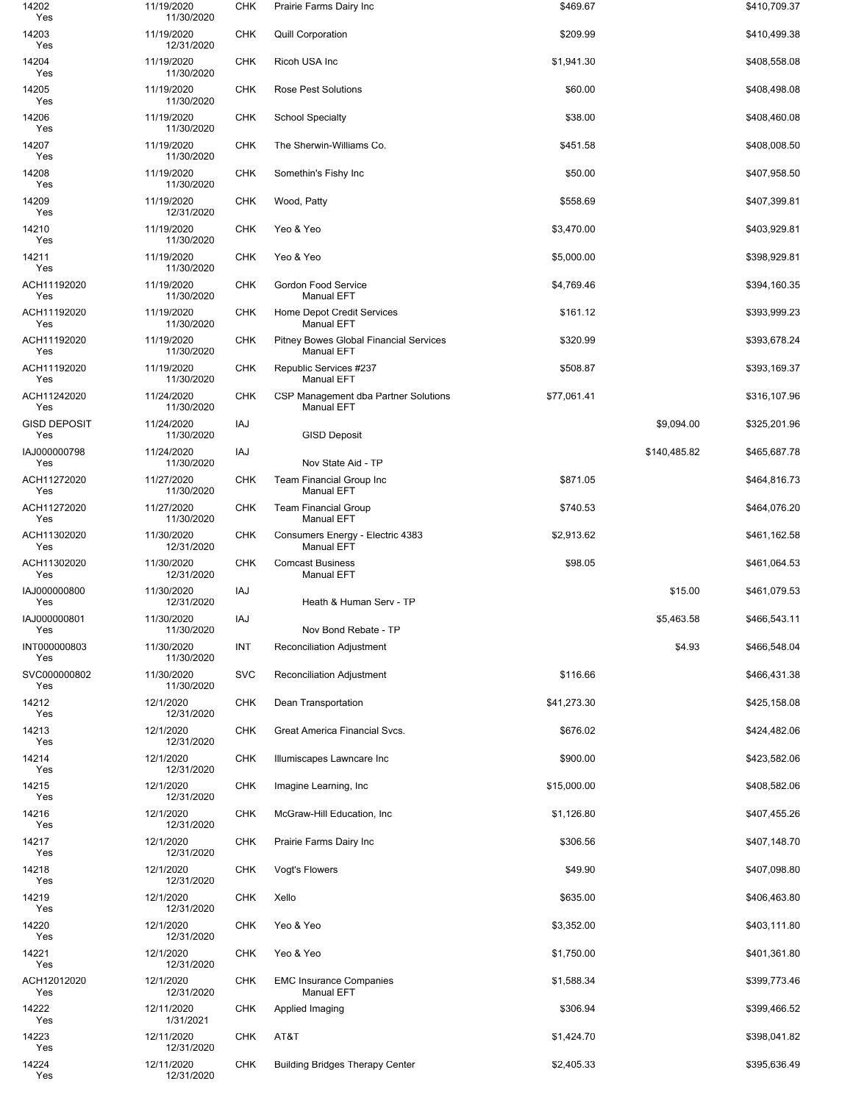| 14202<br>Yes               | 11/19/2020<br>11/30/2020 | <b>CHK</b> | Prairie Farms Dairy Inc                                            | \$469.67    |              | \$410,709.37 |
|----------------------------|--------------------------|------------|--------------------------------------------------------------------|-------------|--------------|--------------|
| 14203<br>Yes               | 11/19/2020<br>12/31/2020 | <b>CHK</b> | <b>Quill Corporation</b>                                           | \$209.99    |              | \$410,499.38 |
| 14204<br>Yes               | 11/19/2020<br>11/30/2020 | <b>CHK</b> | Ricoh USA Inc                                                      | \$1,941.30  |              | \$408,558.08 |
| 14205<br>Yes               | 11/19/2020<br>11/30/2020 | <b>CHK</b> | <b>Rose Pest Solutions</b>                                         | \$60.00     |              | \$408,498.08 |
| 14206<br>Yes               | 11/19/2020<br>11/30/2020 | <b>CHK</b> | <b>School Specialty</b>                                            | \$38.00     |              | \$408,460.08 |
| 14207<br>Yes               | 11/19/2020<br>11/30/2020 | <b>CHK</b> | The Sherwin-Williams Co.                                           | \$451.58    |              | \$408,008.50 |
| 14208<br>Yes               | 11/19/2020<br>11/30/2020 | <b>CHK</b> | Somethin's Fishy Inc                                               | \$50.00     |              | \$407,958.50 |
| 14209<br>Yes               | 11/19/2020<br>12/31/2020 | <b>CHK</b> | Wood, Patty                                                        | \$558.69    |              | \$407,399.81 |
| 14210<br>Yes               | 11/19/2020<br>11/30/2020 | <b>CHK</b> | Yeo & Yeo                                                          | \$3,470.00  |              | \$403,929.81 |
| 14211<br>Yes               | 11/19/2020<br>11/30/2020 | <b>CHK</b> | Yeo & Yeo                                                          | \$5,000.00  |              | \$398,929.81 |
| ACH11192020<br>Yes         | 11/19/2020<br>11/30/2020 | <b>CHK</b> | Gordon Food Service<br><b>Manual EFT</b>                           | \$4,769.46  |              | \$394,160.35 |
| ACH11192020<br>Yes         | 11/19/2020<br>11/30/2020 | <b>CHK</b> | Home Depot Credit Services<br><b>Manual EFT</b>                    | \$161.12    |              | \$393,999.23 |
| ACH11192020<br>Yes         | 11/19/2020<br>11/30/2020 | <b>CHK</b> | <b>Pitney Bowes Global Financial Services</b><br><b>Manual EFT</b> | \$320.99    |              | \$393,678.24 |
| ACH11192020<br>Yes         | 11/19/2020<br>11/30/2020 | <b>CHK</b> | Republic Services #237<br><b>Manual EFT</b>                        | \$508.87    |              | \$393,169.37 |
| ACH11242020<br>Yes         | 11/24/2020<br>11/30/2020 | <b>CHK</b> | CSP Management dba Partner Solutions<br><b>Manual EFT</b>          | \$77,061.41 |              | \$316,107.96 |
| <b>GISD DEPOSIT</b><br>Yes | 11/24/2020<br>11/30/2020 | IAJ        | <b>GISD Deposit</b>                                                |             | \$9,094.00   | \$325,201.96 |
| IAJ000000798<br>Yes        | 11/24/2020<br>11/30/2020 | IAJ        | Nov State Aid - TP                                                 |             | \$140,485.82 | \$465,687.78 |
| ACH11272020<br>Yes         | 11/27/2020<br>11/30/2020 | <b>CHK</b> | <b>Team Financial Group Inc</b><br><b>Manual EFT</b>               | \$871.05    |              | \$464,816.73 |
| ACH11272020<br>Yes         | 11/27/2020<br>11/30/2020 | <b>CHK</b> | <b>Team Financial Group</b><br><b>Manual EFT</b>                   | \$740.53    |              | \$464,076.20 |
| ACH11302020<br>Yes         | 11/30/2020<br>12/31/2020 | <b>CHK</b> | Consumers Energy - Electric 4383<br><b>Manual EFT</b>              | \$2,913.62  |              | \$461,162.58 |
| ACH11302020<br>Yes         | 11/30/2020<br>12/31/2020 | <b>CHK</b> | <b>Comcast Business</b><br><b>Manual EFT</b>                       | \$98.05     |              | \$461,064.53 |
| IAJ000000800<br>Yes        | 11/30/2020<br>12/31/2020 | IAJ        | Heath & Human Serv - TP                                            |             | \$15.00      | \$461,079.53 |
| IAJ000000801<br>Yes        | 11/30/2020<br>11/30/2020 | IAJ        | Nov Bond Rebate - TP                                               |             | \$5,463.58   | \$466,543.11 |
| INT000000803<br>Yes        | 11/30/2020<br>11/30/2020 | INT        | <b>Reconciliation Adjustment</b>                                   |             | \$4.93       | \$466,548.04 |
| SVC000000802<br>Yes        | 11/30/2020<br>11/30/2020 | <b>SVC</b> | Reconciliation Adjustment                                          | \$116.66    |              | \$466,431.38 |
| 14212<br>Yes               | 12/1/2020<br>12/31/2020  | <b>CHK</b> | Dean Transportation                                                | \$41,273.30 |              | \$425,158.08 |
| 14213<br>Yes               | 12/1/2020<br>12/31/2020  | <b>CHK</b> | Great America Financial Svcs.                                      | \$676.02    |              | \$424,482.06 |
| 14214<br>Yes               | 12/1/2020<br>12/31/2020  | <b>CHK</b> | Illumiscapes Lawncare Inc                                          | \$900.00    |              | \$423,582.06 |
| 14215<br>Yes               | 12/1/2020<br>12/31/2020  | CHK        | Imagine Learning, Inc.                                             | \$15,000.00 |              | \$408,582.06 |
| 14216<br>Yes               | 12/1/2020<br>12/31/2020  | <b>CHK</b> | McGraw-Hill Education, Inc.                                        | \$1,126.80  |              | \$407,455.26 |
| 14217<br>Yes               | 12/1/2020<br>12/31/2020  | <b>CHK</b> | Prairie Farms Dairy Inc                                            | \$306.56    |              | \$407,148.70 |
| 14218<br>Yes               | 12/1/2020<br>12/31/2020  | CHK        | Vogt's Flowers                                                     | \$49.90     |              | \$407,098.80 |
| 14219<br>Yes               | 12/1/2020<br>12/31/2020  | <b>CHK</b> | Xello                                                              | \$635.00    |              | \$406,463.80 |
| 14220<br>Yes               | 12/1/2020<br>12/31/2020  | <b>CHK</b> | Yeo & Yeo                                                          | \$3,352.00  |              | \$403,111.80 |
| 14221<br>Yes               | 12/1/2020<br>12/31/2020  | <b>CHK</b> | Yeo & Yeo                                                          | \$1,750.00  |              | \$401,361.80 |
| ACH12012020<br>Yes         | 12/1/2020<br>12/31/2020  | <b>CHK</b> | <b>EMC Insurance Companies</b><br><b>Manual EFT</b>                | \$1,588.34  |              | \$399,773.46 |
| 14222<br>Yes               | 12/11/2020<br>1/31/2021  | <b>CHK</b> | Applied Imaging                                                    | \$306.94    |              | \$399,466.52 |
| 14223<br>Yes               | 12/11/2020<br>12/31/2020 | CHK        | AT&T                                                               | \$1,424.70  |              | \$398,041.82 |
| 14224<br>Yes               | 12/11/2020<br>12/31/2020 | <b>CHK</b> | <b>Building Bridges Therapy Center</b>                             | \$2,405.33  |              | \$395,636.49 |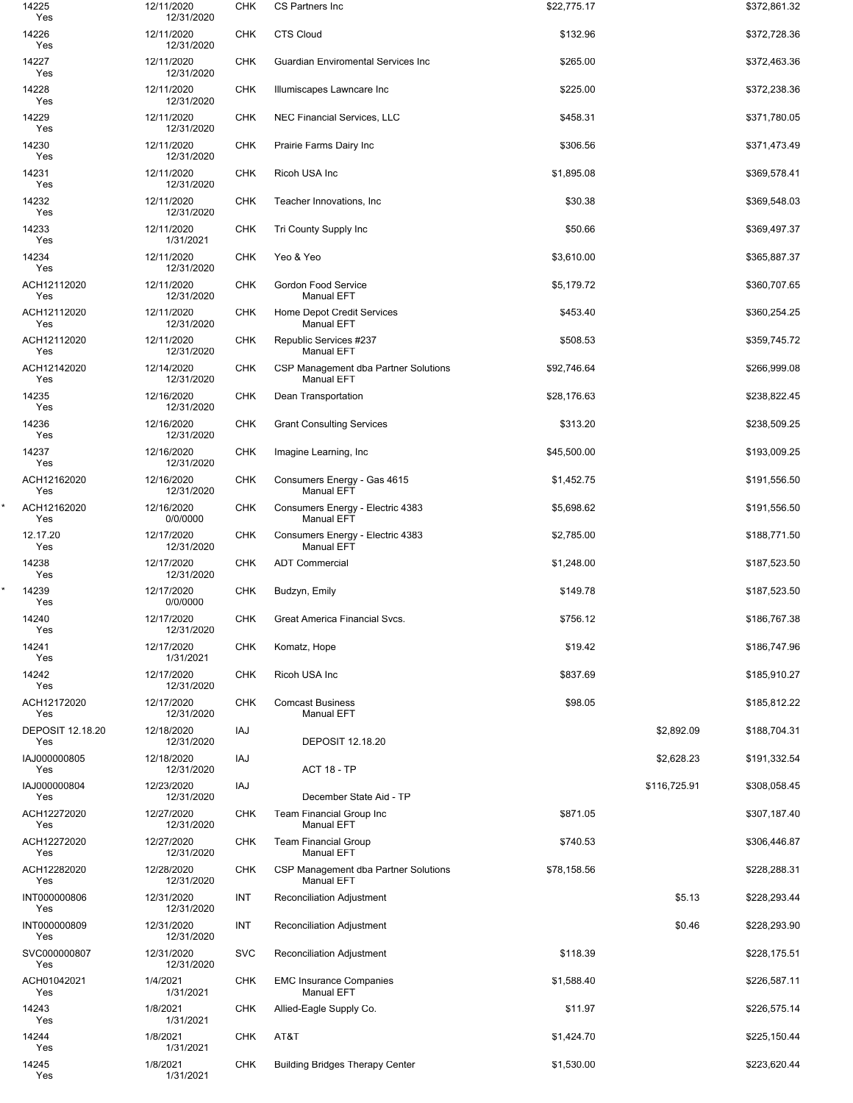| 14225<br>Yes                   | 12/11/2020<br>12/31/2020 | <b>CHK</b> | CS Partners Inc                                           | \$22,775.17 |              | \$372,861.32 |
|--------------------------------|--------------------------|------------|-----------------------------------------------------------|-------------|--------------|--------------|
| 14226<br>Yes                   | 12/11/2020<br>12/31/2020 | <b>CHK</b> | <b>CTS Cloud</b>                                          | \$132.96    |              | \$372,728.36 |
| 14227<br>Yes                   | 12/11/2020<br>12/31/2020 | <b>CHK</b> | Guardian Enviromental Services Inc                        | \$265.00    |              | \$372,463.36 |
| 14228<br>Yes                   | 12/11/2020<br>12/31/2020 | <b>CHK</b> | Illumiscapes Lawncare Inc                                 | \$225.00    |              | \$372,238.36 |
| 14229<br>Yes                   | 12/11/2020<br>12/31/2020 | <b>CHK</b> | NEC Financial Services, LLC                               | \$458.31    |              | \$371,780.05 |
| 14230<br>Yes                   | 12/11/2020<br>12/31/2020 | <b>CHK</b> | Prairie Farms Dairy Inc                                   | \$306.56    |              | \$371,473.49 |
| 14231<br>Yes                   | 12/11/2020<br>12/31/2020 | <b>CHK</b> | Ricoh USA Inc                                             | \$1,895.08  |              | \$369,578.41 |
| 14232<br>Yes                   | 12/11/2020<br>12/31/2020 | <b>CHK</b> | Teacher Innovations, Inc.                                 | \$30.38     |              | \$369,548.03 |
| 14233<br>Yes                   | 12/11/2020<br>1/31/2021  | <b>CHK</b> | Tri County Supply Inc                                     | \$50.66     |              | \$369,497.37 |
| 14234<br>Yes                   | 12/11/2020<br>12/31/2020 | <b>CHK</b> | Yeo & Yeo                                                 | \$3,610.00  |              | \$365,887.37 |
| ACH12112020<br>Yes             | 12/11/2020<br>12/31/2020 | <b>CHK</b> | Gordon Food Service<br><b>Manual EFT</b>                  | \$5,179.72  |              | \$360,707.65 |
| ACH12112020<br>Yes             | 12/11/2020<br>12/31/2020 | <b>CHK</b> | Home Depot Credit Services<br><b>Manual EFT</b>           | \$453.40    |              | \$360,254.25 |
| ACH12112020<br>Yes             | 12/11/2020<br>12/31/2020 | <b>CHK</b> | Republic Services #237<br><b>Manual EFT</b>               | \$508.53    |              | \$359,745.72 |
| ACH12142020<br>Yes             | 12/14/2020<br>12/31/2020 | <b>CHK</b> | CSP Management dba Partner Solutions<br><b>Manual EFT</b> | \$92,746.64 |              | \$266,999.08 |
| 14235<br>Yes                   | 12/16/2020<br>12/31/2020 | <b>CHK</b> | Dean Transportation                                       | \$28,176.63 |              | \$238,822.45 |
| 14236<br>Yes                   | 12/16/2020<br>12/31/2020 | <b>CHK</b> | <b>Grant Consulting Services</b>                          | \$313.20    |              | \$238,509.25 |
| 14237<br>Yes                   | 12/16/2020<br>12/31/2020 | <b>CHK</b> | Imagine Learning, Inc.                                    | \$45,500.00 |              | \$193,009.25 |
| ACH12162020<br>Yes             | 12/16/2020<br>12/31/2020 | <b>CHK</b> | Consumers Energy - Gas 4615<br><b>Manual EFT</b>          | \$1,452.75  |              | \$191,556.50 |
| ACH12162020<br>Yes             | 12/16/2020<br>0/0/0000   | <b>CHK</b> | Consumers Energy - Electric 4383<br><b>Manual EFT</b>     | \$5,698.62  |              | \$191,556.50 |
| 12.17.20<br>Yes                | 12/17/2020<br>12/31/2020 | <b>CHK</b> | Consumers Energy - Electric 4383<br><b>Manual EFT</b>     | \$2,785.00  |              | \$188,771.50 |
| 14238<br>Yes                   | 12/17/2020<br>12/31/2020 | <b>CHK</b> | <b>ADT Commercial</b>                                     | \$1,248.00  |              | \$187,523.50 |
| 14239<br>Yes                   | 12/17/2020<br>0/0/0000   | <b>CHK</b> | Budzyn, Emily                                             | \$149.78    |              | \$187,523.50 |
| 14240<br>Yes                   | 12/17/2020<br>12/31/2020 | <b>CHK</b> | Great America Financial Svcs.                             | \$756.12    |              | \$186,767.38 |
| 14241<br>Yes                   | 12/17/2020<br>1/31/2021  | <b>CHK</b> | Komatz, Hope                                              | \$19.42     |              | \$186,747.96 |
| 14242<br>Yes                   | 12/17/2020<br>12/31/2020 | <b>CHK</b> | Ricoh USA Inc                                             | \$837.69    |              | \$185,910.27 |
| ACH12172020<br>Yes             | 12/17/2020<br>12/31/2020 | <b>CHK</b> | <b>Comcast Business</b><br><b>Manual EFT</b>              | \$98.05     |              | \$185,812.22 |
| <b>DEPOSIT 12.18.20</b><br>Yes | 12/18/2020<br>12/31/2020 | IAJ        | <b>DEPOSIT 12.18.20</b>                                   |             | \$2,892.09   | \$188,704.31 |
| IAJ000000805<br>Yes            | 12/18/2020<br>12/31/2020 | IAJ        | <b>ACT 18 - TP</b>                                        |             | \$2,628.23   | \$191,332.54 |
| IAJ000000804<br>Yes            | 12/23/2020<br>12/31/2020 | IAJ        | December State Aid - TP                                   |             | \$116,725.91 | \$308,058.45 |
| ACH12272020<br>Yes             | 12/27/2020<br>12/31/2020 | <b>CHK</b> | Team Financial Group Inc<br><b>Manual EFT</b>             | \$871.05    |              | \$307,187.40 |
| ACH12272020<br>Yes             | 12/27/2020<br>12/31/2020 | <b>CHK</b> | <b>Team Financial Group</b><br><b>Manual EFT</b>          | \$740.53    |              | \$306,446.87 |
| ACH12282020<br>Yes             | 12/28/2020<br>12/31/2020 | <b>CHK</b> | CSP Management dba Partner Solutions<br><b>Manual EFT</b> | \$78,158.56 |              | \$228,288.31 |
| INT000000806<br>Yes            | 12/31/2020<br>12/31/2020 | INT        | Reconciliation Adjustment                                 |             | \$5.13       | \$228,293.44 |
| INT000000809<br>Yes            | 12/31/2020<br>12/31/2020 | INT        | Reconciliation Adjustment                                 |             | \$0.46       | \$228,293.90 |
| SVC000000807<br>Yes            | 12/31/2020<br>12/31/2020 | <b>SVC</b> | Reconciliation Adjustment                                 | \$118.39    |              | \$228,175.51 |
| ACH01042021<br>Yes             | 1/4/2021<br>1/31/2021    | <b>CHK</b> | <b>EMC Insurance Companies</b><br>Manual EFT              | \$1,588.40  |              | \$226,587.11 |
| 14243<br>Yes                   | 1/8/2021<br>1/31/2021    | <b>CHK</b> | Allied-Eagle Supply Co.                                   | \$11.97     |              | \$226,575.14 |
| 14244<br>Yes                   | 1/8/2021<br>1/31/2021    | <b>CHK</b> | AT&T                                                      | \$1,424.70  |              | \$225,150.44 |
| 14245<br>Yes                   | 1/8/2021<br>1/31/2021    | <b>CHK</b> | <b>Building Bridges Therapy Center</b>                    | \$1,530.00  |              | \$223,620.44 |

\*

\*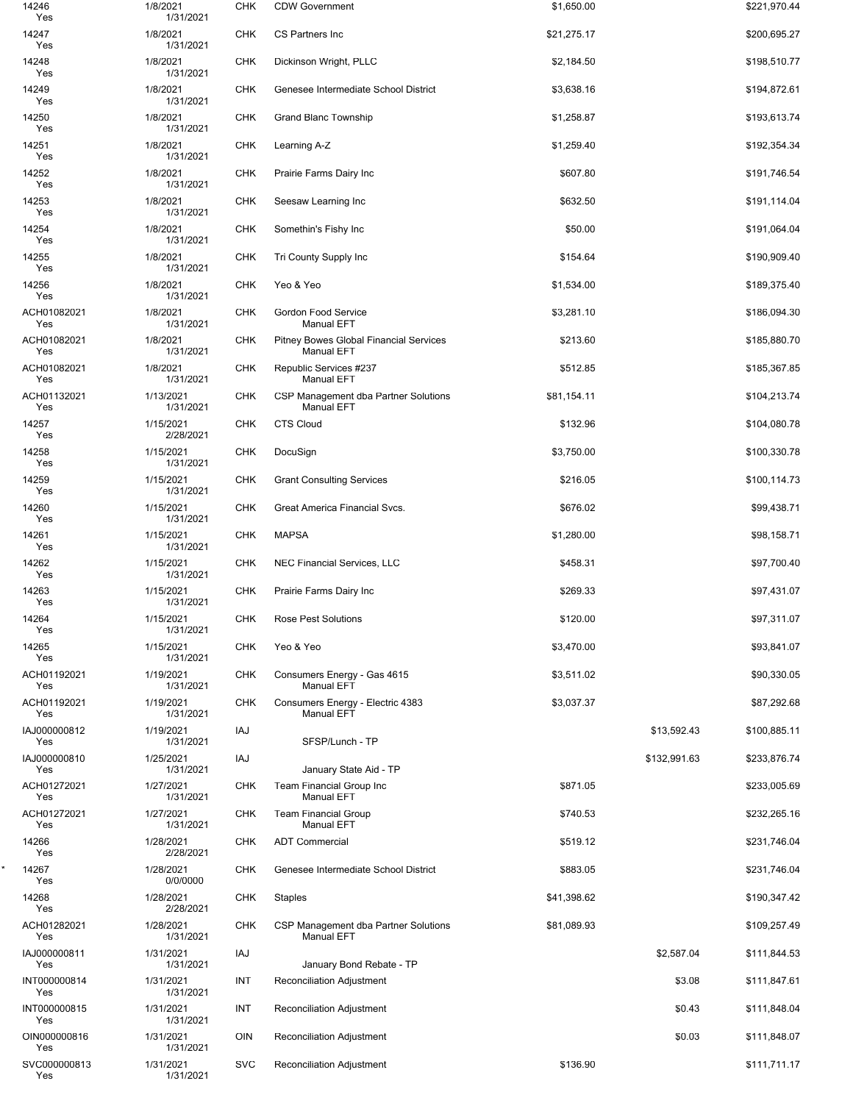| 14246<br>Yes        | 1/8/2021<br>1/31/2021  | <b>CHK</b> | <b>CDW Government</b>                                              | \$1,650.00  |              | \$221,970.44 |
|---------------------|------------------------|------------|--------------------------------------------------------------------|-------------|--------------|--------------|
| 14247<br>Yes        | 1/8/2021<br>1/31/2021  | <b>CHK</b> | CS Partners Inc                                                    | \$21,275.17 |              | \$200,695.27 |
| 14248<br>Yes        | 1/8/2021<br>1/31/2021  | <b>CHK</b> | Dickinson Wright, PLLC                                             | \$2,184.50  |              | \$198,510.77 |
| 14249<br>Yes        | 1/8/2021<br>1/31/2021  | <b>CHK</b> | Genesee Intermediate School District                               | \$3,638.16  |              | \$194,872.61 |
| 14250<br>Yes        | 1/8/2021<br>1/31/2021  | <b>CHK</b> | Grand Blanc Township                                               | \$1,258.87  |              | \$193,613.74 |
| 14251<br>Yes        | 1/8/2021<br>1/31/2021  | <b>CHK</b> | Learning A-Z                                                       | \$1,259.40  |              | \$192,354.34 |
| 14252<br>Yes        | 1/8/2021<br>1/31/2021  | <b>CHK</b> | Prairie Farms Dairy Inc                                            | \$607.80    |              | \$191,746.54 |
| 14253<br>Yes        | 1/8/2021<br>1/31/2021  | <b>CHK</b> | Seesaw Learning Inc                                                | \$632.50    |              | \$191,114.04 |
| 14254<br>Yes        | 1/8/2021<br>1/31/2021  | <b>CHK</b> | Somethin's Fishy Inc                                               | \$50.00     |              | \$191,064.04 |
| 14255<br>Yes        | 1/8/2021<br>1/31/2021  | <b>CHK</b> | Tri County Supply Inc                                              | \$154.64    |              | \$190,909.40 |
| 14256               | 1/8/2021               | <b>CHK</b> | Yeo & Yeo                                                          | \$1,534.00  |              | \$189,375.40 |
| Yes<br>ACH01082021  | 1/31/2021<br>1/8/2021  | <b>CHK</b> | <b>Gordon Food Service</b>                                         | \$3,281.10  |              | \$186,094.30 |
| Yes<br>ACH01082021  | 1/31/2021<br>1/8/2021  | <b>CHK</b> | <b>Manual EFT</b><br><b>Pitney Bowes Global Financial Services</b> | \$213.60    |              | \$185,880.70 |
| Yes<br>ACH01082021  | 1/31/2021<br>1/8/2021  | <b>CHK</b> | <b>Manual EFT</b><br>Republic Services #237                        | \$512.85    |              | \$185,367.85 |
| Yes<br>ACH01132021  | 1/31/2021<br>1/13/2021 | <b>CHK</b> | <b>Manual EFT</b><br>CSP Management dba Partner Solutions          | \$81,154.11 |              | \$104,213.74 |
| Yes<br>14257        | 1/31/2021<br>1/15/2021 | <b>CHK</b> | <b>Manual EFT</b><br><b>CTS Cloud</b>                              | \$132.96    |              | \$104,080.78 |
| Yes<br>14258        | 2/28/2021<br>1/15/2021 | <b>CHK</b> | DocuSign                                                           | \$3,750.00  |              | \$100,330.78 |
| Yes<br>14259        | 1/31/2021<br>1/15/2021 | <b>CHK</b> | <b>Grant Consulting Services</b>                                   | \$216.05    |              | \$100,114.73 |
| Yes<br>14260        | 1/31/2021<br>1/15/2021 | <b>CHK</b> | Great America Financial Svcs.                                      | \$676.02    |              | \$99,438.71  |
| Yes<br>14261        | 1/31/2021<br>1/15/2021 | <b>CHK</b> | <b>MAPSA</b>                                                       | \$1,280.00  |              | \$98,158.71  |
| Yes<br>14262        | 1/31/2021<br>1/15/2021 | <b>CHK</b> | <b>NEC Financial Services, LLC</b>                                 | \$458.31    |              | \$97,700.40  |
| Yes<br>14263        | 1/31/2021<br>1/15/2021 | <b>CHK</b> | Prairie Farms Dairy Inc                                            | \$269.33    |              | \$97,431.07  |
| Yes<br>14264        | 1/31/2021<br>1/15/2021 | <b>CHK</b> | <b>Rose Pest Solutions</b>                                         | \$120.00    |              | \$97,311.07  |
| Yes<br>14265        | 1/31/2021<br>1/15/2021 | <b>CHK</b> | Yeo & Yeo                                                          | \$3,470.00  |              | \$93,841.07  |
| Yes<br>ACH01192021  | 1/31/2021<br>1/19/2021 | <b>CHK</b> | Consumers Energy - Gas 4615                                        | \$3,511.02  |              | \$90,330.05  |
| Yes<br>ACH01192021  | 1/31/2021<br>1/19/2021 | <b>CHK</b> | Manual EFT<br>Consumers Energy - Electric 4383                     | \$3,037.37  |              | \$87,292.68  |
| Yes<br>IAJ000000812 | 1/31/2021<br>1/19/2021 | IAJ        | <b>Manual EFT</b>                                                  |             | \$13,592.43  | \$100,885.11 |
| Yes<br>IAJ000000810 | 1/31/2021<br>1/25/2021 | IAJ        | SFSP/Lunch - TP                                                    |             | \$132,991.63 | \$233,876.74 |
| Yes                 | 1/31/2021              |            | January State Aid - TP                                             |             |              |              |
| ACH01272021<br>Yes  | 1/27/2021<br>1/31/2021 | <b>CHK</b> | Team Financial Group Inc<br><b>Manual EFT</b>                      | \$871.05    |              | \$233,005.69 |
| ACH01272021<br>Yes  | 1/27/2021<br>1/31/2021 | <b>CHK</b> | <b>Team Financial Group</b><br><b>Manual EFT</b>                   | \$740.53    |              | \$232,265.16 |
| 14266<br>Yes        | 1/28/2021<br>2/28/2021 | <b>CHK</b> | <b>ADT Commercial</b>                                              | \$519.12    |              | \$231,746.04 |
| 14267<br>Yes        | 1/28/2021<br>0/0/0000  | <b>CHK</b> | Genesee Intermediate School District                               | \$883.05    |              | \$231,746.04 |
| 14268<br>Yes        | 1/28/2021<br>2/28/2021 | <b>CHK</b> | Staples                                                            | \$41,398.62 |              | \$190,347.42 |
| ACH01282021<br>Yes  | 1/28/2021<br>1/31/2021 | <b>CHK</b> | CSP Management dba Partner Solutions<br>Manual EFT                 | \$81,089.93 |              | \$109,257.49 |
| IAJ000000811<br>Yes | 1/31/2021<br>1/31/2021 | IAJ        | January Bond Rebate - TP                                           |             | \$2,587.04   | \$111,844.53 |
| INT000000814<br>Yes | 1/31/2021<br>1/31/2021 | INT        | Reconciliation Adjustment                                          |             | \$3.08       | \$111,847.61 |
| INT000000815<br>Yes | 1/31/2021<br>1/31/2021 | INT        | <b>Reconciliation Adjustment</b>                                   |             | \$0.43       | \$111,848.04 |
| OIN000000816<br>Yes | 1/31/2021<br>1/31/2021 | OIN        | <b>Reconciliation Adjustment</b>                                   |             | \$0.03       | \$111,848.07 |
| SVC000000813<br>Yes | 1/31/2021<br>1/31/2021 | <b>SVC</b> | Reconciliation Adjustment                                          | \$136.90    |              | \$111,711.17 |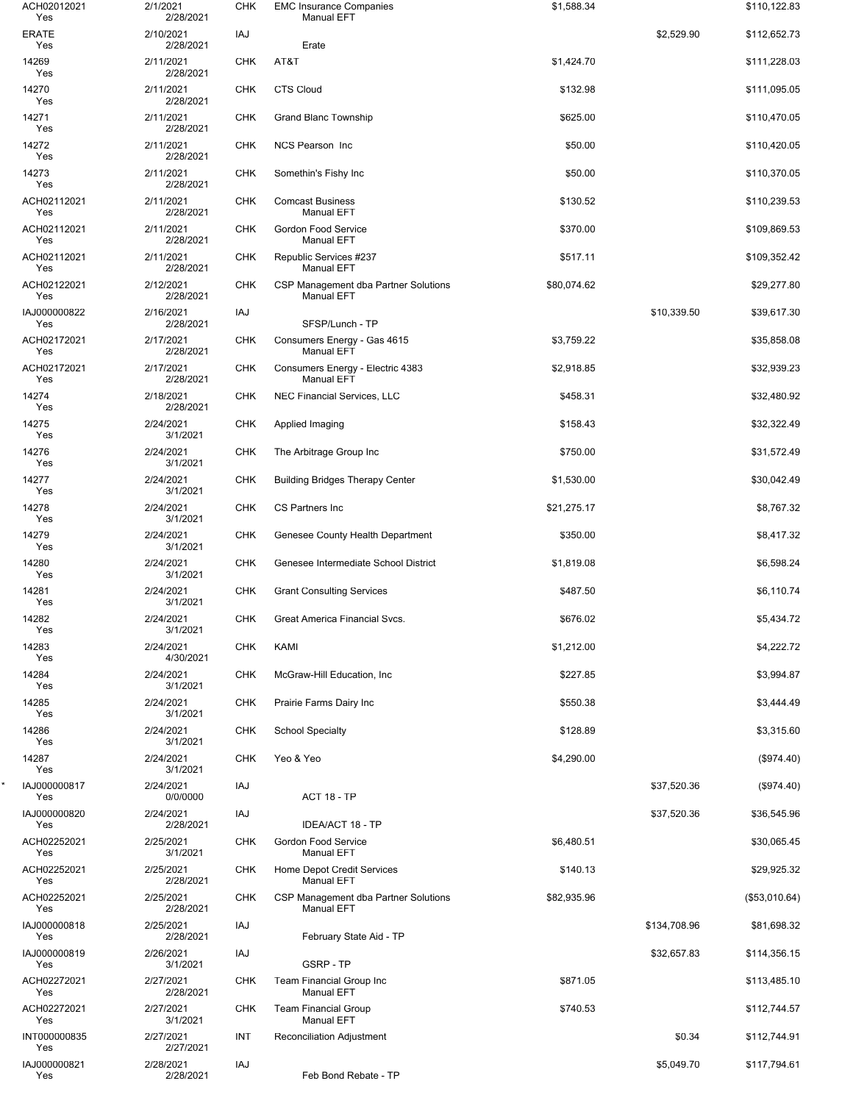| ACH02012021<br>Yes  | 2/1/2021<br>2/28/2021  | <b>CHK</b> | <b>EMC Insurance Companies</b><br><b>Manual EFT</b>       | \$1,588.34  |              | \$110,122.83  |
|---------------------|------------------------|------------|-----------------------------------------------------------|-------------|--------------|---------------|
| <b>ERATE</b><br>Yes | 2/10/2021<br>2/28/2021 | IAJ        | Erate                                                     |             | \$2,529.90   | \$112,652.73  |
| 14269<br>Yes        | 2/11/2021<br>2/28/2021 | <b>CHK</b> | AT&T                                                      | \$1,424.70  |              | \$111,228.03  |
| 14270<br>Yes        | 2/11/2021<br>2/28/2021 | CHK        | <b>CTS Cloud</b>                                          | \$132.98    |              | \$111,095.05  |
| 14271<br>Yes        | 2/11/2021<br>2/28/2021 | CHK        | <b>Grand Blanc Township</b>                               | \$625.00    |              | \$110,470.05  |
| 14272<br>Yes        | 2/11/2021<br>2/28/2021 | <b>CHK</b> | NCS Pearson Inc                                           | \$50.00     |              | \$110,420.05  |
| 14273<br>Yes        | 2/11/2021<br>2/28/2021 | <b>CHK</b> | Somethin's Fishy Inc                                      | \$50.00     |              | \$110,370.05  |
| ACH02112021<br>Yes  | 2/11/2021<br>2/28/2021 | CHK        | <b>Comcast Business</b><br><b>Manual EFT</b>              | \$130.52    |              | \$110,239.53  |
| ACH02112021<br>Yes  | 2/11/2021<br>2/28/2021 | <b>CHK</b> | Gordon Food Service<br><b>Manual EFT</b>                  | \$370.00    |              | \$109,869.53  |
| ACH02112021<br>Yes  | 2/11/2021<br>2/28/2021 | <b>CHK</b> | Republic Services #237<br><b>Manual EFT</b>               | \$517.11    |              | \$109,352.42  |
| ACH02122021<br>Yes  | 2/12/2021<br>2/28/2021 | <b>CHK</b> | CSP Management dba Partner Solutions<br><b>Manual EFT</b> | \$80,074.62 |              | \$29,277.80   |
| IAJ000000822<br>Yes | 2/16/2021<br>2/28/2021 | IAJ        | SFSP/Lunch - TP                                           |             | \$10,339.50  | \$39,617.30   |
| ACH02172021         | 2/17/2021              | <b>CHK</b> | Consumers Energy - Gas 4615                               | \$3,759.22  |              | \$35,858.08   |
| Yes<br>ACH02172021  | 2/28/2021<br>2/17/2021 | CHK        | <b>Manual EFT</b><br>Consumers Energy - Electric 4383     | \$2,918.85  |              | \$32,939.23   |
| Yes<br>14274        | 2/28/2021<br>2/18/2021 | <b>CHK</b> | <b>Manual EFT</b><br><b>NEC Financial Services, LLC</b>   | \$458.31    |              | \$32,480.92   |
| Yes<br>14275        | 2/28/2021<br>2/24/2021 | <b>CHK</b> | Applied Imaging                                           | \$158.43    |              | \$32,322.49   |
| Yes<br>14276        | 3/1/2021<br>2/24/2021  | CHK        | The Arbitrage Group Inc                                   | \$750.00    |              | \$31,572.49   |
| Yes<br>14277        | 3/1/2021<br>2/24/2021  | <b>CHK</b> | <b>Building Bridges Therapy Center</b>                    | \$1,530.00  |              | \$30,042.49   |
| Yes<br>14278        | 3/1/2021<br>2/24/2021  | <b>CHK</b> | CS Partners Inc                                           | \$21,275.17 |              | \$8,767.32    |
| Yes<br>14279        | 3/1/2021<br>2/24/2021  | CHK        | Genesee County Health Department                          | \$350.00    |              | \$8,417.32    |
| Yes<br>14280        | 3/1/2021<br>2/24/2021  | <b>CHK</b> | Genesee Intermediate School District                      | \$1,819.08  |              | \$6,598.24    |
| Yes<br>14281        | 3/1/2021<br>2/24/2021  | CHK        | <b>Grant Consulting Services</b>                          | \$487.50    |              | \$6,110.74    |
| Yes<br>14282        | 3/1/2021<br>2/24/2021  | CHK        | Great America Financial Svcs.                             | \$676.02    |              | \$5,434.72    |
| Yes<br>14283        | 3/1/2021<br>2/24/2021  | <b>CHK</b> | KAMI                                                      | \$1,212.00  |              | \$4,222.72    |
| Yes<br>14284        | 4/30/2021<br>2/24/2021 | <b>CHK</b> | McGraw-Hill Education, Inc                                | \$227.85    |              | \$3,994.87    |
| Yes<br>14285        | 3/1/2021<br>2/24/2021  | CHK        | Prairie Farms Dairy Inc                                   | \$550.38    |              | \$3,444.49    |
| Yes<br>14286        | 3/1/2021<br>2/24/2021  | <b>CHK</b> | <b>School Specialty</b>                                   | \$128.89    |              | \$3,315.60    |
| Yes<br>14287        | 3/1/2021<br>2/24/2021  | <b>CHK</b> | Yeo & Yeo                                                 | \$4,290.00  |              | (\$974.40)    |
| Yes                 | 3/1/2021               |            |                                                           |             |              |               |
| IAJ000000817<br>Yes | 2/24/2021<br>0/0/0000  | IAJ        | <b>ACT 18 - TP</b>                                        |             | \$37,520.36  | (\$974.40)    |
| IAJ000000820<br>Yes | 2/24/2021<br>2/28/2021 | IAJ        | IDEA/ACT 18 - TP                                          |             | \$37,520.36  | \$36,545.96   |
| ACH02252021<br>Yes  | 2/25/2021<br>3/1/2021  | <b>CHK</b> | Gordon Food Service<br><b>Manual EFT</b>                  | \$6,480.51  |              | \$30,065.45   |
| ACH02252021<br>Yes  | 2/25/2021<br>2/28/2021 | CHK        | Home Depot Credit Services<br><b>Manual EFT</b>           | \$140.13    |              | \$29,925.32   |
| ACH02252021<br>Yes  | 2/25/2021<br>2/28/2021 | <b>CHK</b> | CSP Management dba Partner Solutions<br><b>Manual EFT</b> | \$82,935.96 |              | (\$53,010.64) |
| IAJ000000818<br>Yes | 2/25/2021<br>2/28/2021 | IAJ        | February State Aid - TP                                   |             | \$134,708.96 | \$81,698.32   |
| IAJ000000819<br>Yes | 2/26/2021<br>3/1/2021  | IAJ        | GSRP-TP                                                   |             | \$32,657.83  | \$114,356.15  |
| ACH02272021<br>Yes  | 2/27/2021<br>2/28/2021 | <b>CHK</b> | <b>Team Financial Group Inc</b><br><b>Manual EFT</b>      | \$871.05    |              | \$113,485.10  |
| ACH02272021<br>Yes  | 2/27/2021<br>3/1/2021  | <b>CHK</b> | <b>Team Financial Group</b><br><b>Manual EFT</b>          | \$740.53    |              | \$112,744.57  |
| INT000000835<br>Yes | 2/27/2021<br>2/27/2021 | INT        | <b>Reconciliation Adjustment</b>                          |             | \$0.34       | \$112,744.91  |
| IAJ000000821<br>Yes | 2/28/2021<br>2/28/2021 | IAJ        | Feb Bond Rebate - TP                                      |             | \$5,049.70   | \$117,794.61  |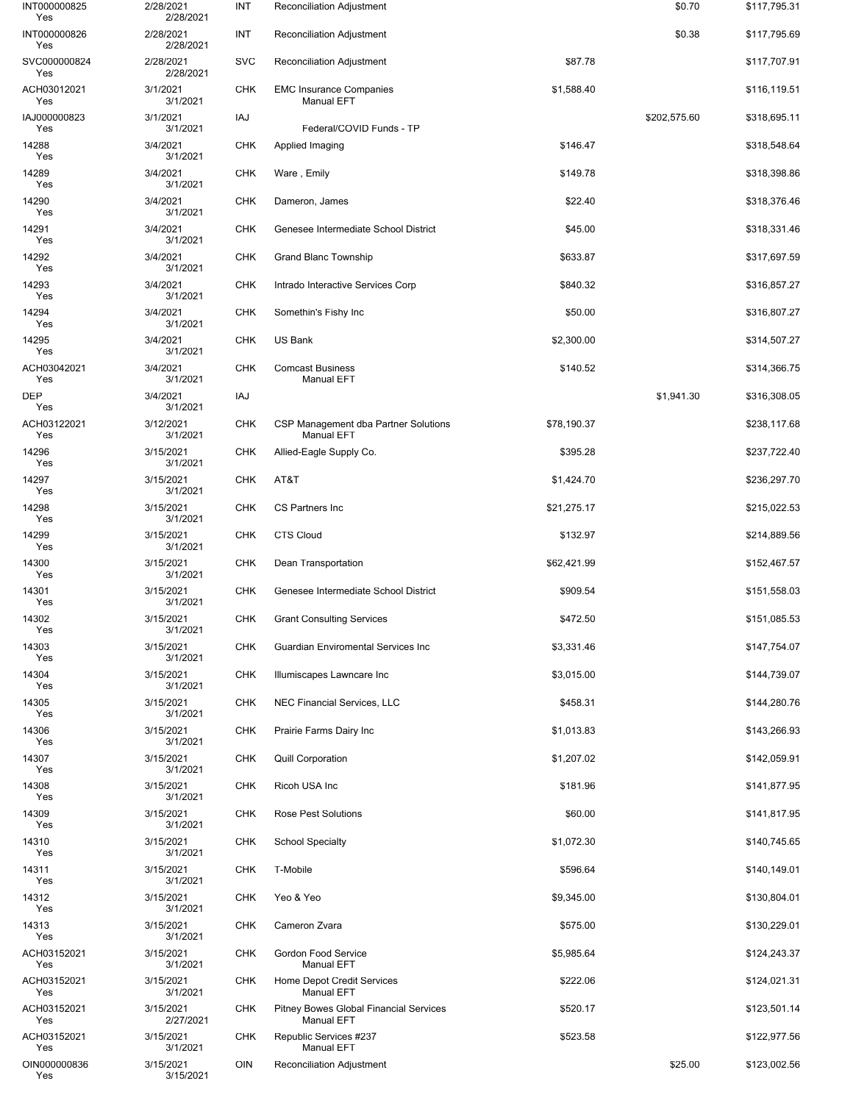| INT000000825<br>Yes | 2/28/2021<br>2/28/2021 | INT        | Reconciliation Adjustment                                   |             | \$0.70       | \$117,795.31 |
|---------------------|------------------------|------------|-------------------------------------------------------------|-------------|--------------|--------------|
| INT000000826<br>Yes | 2/28/2021<br>2/28/2021 | INT        | Reconciliation Adjustment                                   |             | \$0.38       | \$117,795.69 |
| SVC000000824<br>Yes | 2/28/2021<br>2/28/2021 | <b>SVC</b> | Reconciliation Adjustment                                   | \$87.78     |              | \$117,707.91 |
| ACH03012021<br>Yes  | 3/1/2021<br>3/1/2021   | <b>CHK</b> | <b>EMC Insurance Companies</b><br>Manual EFT                | \$1,588.40  |              | \$116,119.51 |
| IAJ000000823<br>Yes | 3/1/2021<br>3/1/2021   | IAJ        | Federal/COVID Funds - TP                                    |             | \$202,575.60 | \$318,695.11 |
| 14288<br>Yes        | 3/4/2021<br>3/1/2021   | <b>CHK</b> | Applied Imaging                                             | \$146.47    |              | \$318,548.64 |
| 14289<br>Yes        | 3/4/2021<br>3/1/2021   | <b>CHK</b> | Ware, Emily                                                 | \$149.78    |              | \$318,398.86 |
| 14290<br>Yes        | 3/4/2021<br>3/1/2021   | <b>CHK</b> | Dameron, James                                              | \$22.40     |              | \$318,376.46 |
| 14291<br>Yes        | 3/4/2021<br>3/1/2021   | <b>CHK</b> | Genesee Intermediate School District                        | \$45.00     |              | \$318,331.46 |
| 14292<br>Yes        | 3/4/2021<br>3/1/2021   | <b>CHK</b> | Grand Blanc Township                                        | \$633.87    |              | \$317,697.59 |
| 14293<br>Yes        | 3/4/2021<br>3/1/2021   | <b>CHK</b> | Intrado Interactive Services Corp                           | \$840.32    |              | \$316,857.27 |
| 14294<br>Yes        | 3/4/2021<br>3/1/2021   | <b>CHK</b> | Somethin's Fishy Inc                                        | \$50.00     |              | \$316,807.27 |
| 14295<br>Yes        | 3/4/2021<br>3/1/2021   | <b>CHK</b> | US Bank                                                     | \$2,300.00  |              | \$314,507.27 |
| ACH03042021<br>Yes  | 3/4/2021<br>3/1/2021   | CHK        | <b>Comcast Business</b><br><b>Manual EFT</b>                | \$140.52    |              | \$314,366.75 |
| <b>DEP</b><br>Yes   | 3/4/2021<br>3/1/2021   | IAJ        |                                                             |             | \$1,941.30   | \$316,308.05 |
| ACH03122021<br>Yes  | 3/12/2021<br>3/1/2021  | <b>CHK</b> | CSP Management dba Partner Solutions<br><b>Manual EFT</b>   | \$78,190.37 |              | \$238,117.68 |
| 14296<br>Yes        | 3/15/2021<br>3/1/2021  | <b>CHK</b> | Allied-Eagle Supply Co.                                     | \$395.28    |              | \$237,722.40 |
| 14297<br>Yes        | 3/15/2021<br>3/1/2021  | <b>CHK</b> | AT&T                                                        | \$1,424.70  |              | \$236,297.70 |
| 14298<br>Yes        | 3/15/2021<br>3/1/2021  | <b>CHK</b> | CS Partners Inc                                             | \$21,275.17 |              | \$215,022.53 |
| 14299<br>Yes        | 3/15/2021<br>3/1/2021  | <b>CHK</b> | <b>CTS Cloud</b>                                            | \$132.97    |              | \$214,889.56 |
| 14300<br>Yes        | 3/15/2021<br>3/1/2021  | <b>CHK</b> | Dean Transportation                                         | \$62,421.99 |              | \$152,467.57 |
| 14301<br>Yes        | 3/15/2021<br>3/1/2021  | <b>CHK</b> | Genesee Intermediate School District                        | \$909.54    |              | \$151,558.03 |
| 14302<br>Yes        | 3/15/2021<br>3/1/2021  | CHK        | <b>Grant Consulting Services</b>                            | \$472.50    |              | \$151,085.53 |
| 14303<br>Yes        | 3/15/2021<br>3/1/2021  | <b>CHK</b> | <b>Guardian Enviromental Services Inc.</b>                  | \$3,331.46  |              | \$147,754.07 |
| 14304<br>Yes        | 3/15/2021<br>3/1/2021  | <b>CHK</b> | Illumiscapes Lawncare Inc                                   | \$3,015.00  |              | \$144,739.07 |
| 14305<br>Yes        | 3/15/2021<br>3/1/2021  | CHK        | <b>NEC Financial Services, LLC</b>                          | \$458.31    |              | \$144,280.76 |
| 14306<br>Yes        | 3/15/2021<br>3/1/2021  | <b>CHK</b> | Prairie Farms Dairy Inc                                     | \$1,013.83  |              | \$143,266.93 |
| 14307<br>Yes        | 3/15/2021<br>3/1/2021  | <b>CHK</b> | <b>Quill Corporation</b>                                    | \$1,207.02  |              | \$142,059.91 |
| 14308<br>Yes        | 3/15/2021<br>3/1/2021  | CHK        | Ricoh USA Inc                                               | \$181.96    |              | \$141,877.95 |
| 14309<br>Yes        | 3/15/2021<br>3/1/2021  | <b>CHK</b> | <b>Rose Pest Solutions</b>                                  | \$60.00     |              | \$141,817.95 |
| 14310<br>Yes        | 3/15/2021<br>3/1/2021  | <b>CHK</b> | <b>School Specialty</b>                                     | \$1,072.30  |              | \$140,745.65 |
| 14311<br>Yes        | 3/15/2021<br>3/1/2021  | CHK        | T-Mobile                                                    | \$596.64    |              | \$140,149.01 |
| 14312<br>Yes        | 3/15/2021<br>3/1/2021  | <b>CHK</b> | Yeo & Yeo                                                   | \$9,345.00  |              | \$130,804.01 |
| 14313<br>Yes        | 3/15/2021<br>3/1/2021  | <b>CHK</b> | Cameron Zvara                                               | \$575.00    |              | \$130,229.01 |
| ACH03152021<br>Yes  | 3/15/2021<br>3/1/2021  | CHK        | Gordon Food Service<br><b>Manual EFT</b>                    | \$5,985.64  |              | \$124,243.37 |
| ACH03152021<br>Yes  | 3/15/2021<br>3/1/2021  | <b>CHK</b> | Home Depot Credit Services<br><b>Manual EFT</b>             | \$222.06    |              | \$124,021.31 |
| ACH03152021<br>Yes  | 3/15/2021<br>2/27/2021 | CHK        | Pitney Bowes Global Financial Services<br><b>Manual EFT</b> | \$520.17    |              | \$123,501.14 |
| ACH03152021<br>Yes  | 3/15/2021<br>3/1/2021  | CHK        | Republic Services #237<br><b>Manual EFT</b>                 | \$523.58    |              | \$122,977.56 |
| OIN000000836<br>Yes | 3/15/2021<br>3/15/2021 | <b>OIN</b> | Reconciliation Adjustment                                   |             | \$25.00      | \$123,002.56 |
|                     |                        |            |                                                             |             |              |              |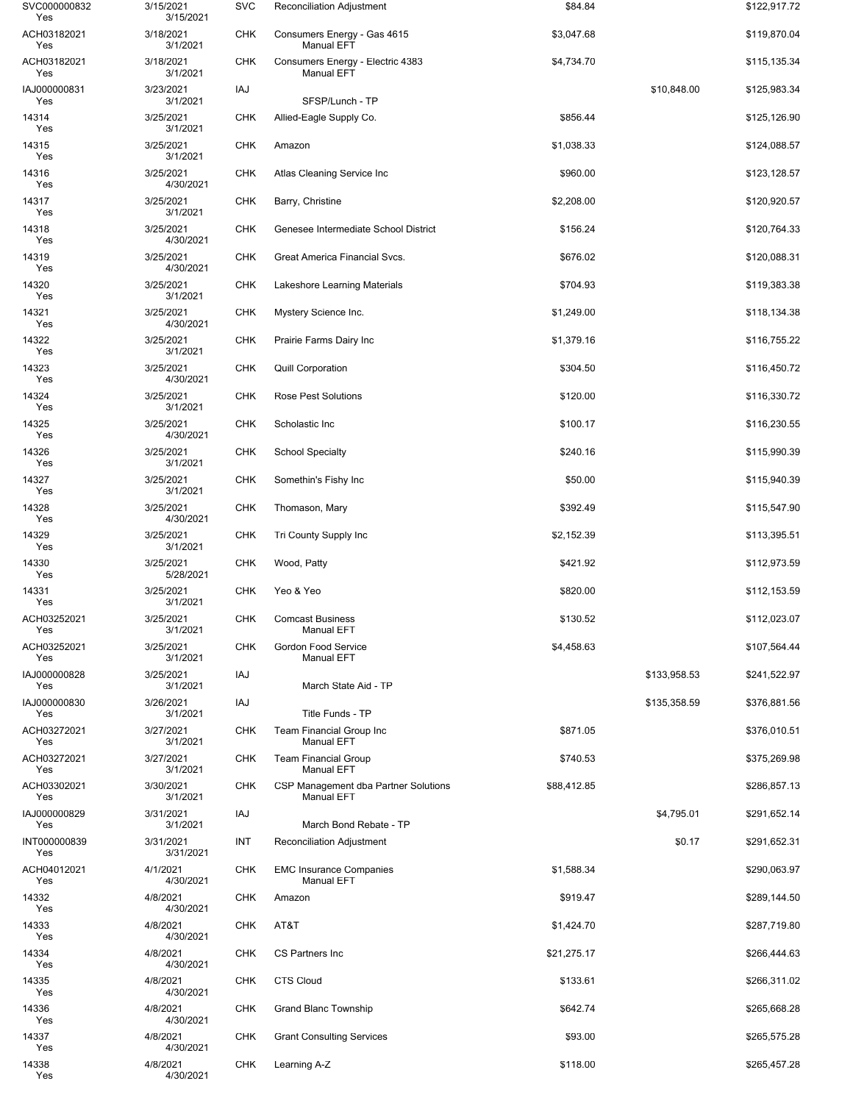| SVC000000832<br>Yes | 3/15/2021<br>3/15/2021 | <b>SVC</b> | Reconciliation Adjustment                                 | \$84.84     |              | \$122,917.72 |
|---------------------|------------------------|------------|-----------------------------------------------------------|-------------|--------------|--------------|
| ACH03182021<br>Yes  | 3/18/2021<br>3/1/2021  | <b>CHK</b> | Consumers Energy - Gas 4615<br><b>Manual EFT</b>          | \$3,047.68  |              | \$119,870.04 |
| ACH03182021<br>Yes  | 3/18/2021<br>3/1/2021  | <b>CHK</b> | Consumers Energy - Electric 4383<br><b>Manual EFT</b>     | \$4,734.70  |              | \$115,135.34 |
| IAJ000000831<br>Yes | 3/23/2021<br>3/1/2021  | IAJ        | SFSP/Lunch - TP                                           |             | \$10,848.00  | \$125,983.34 |
| 14314<br>Yes        | 3/25/2021<br>3/1/2021  | CHK        | Allied-Eagle Supply Co.                                   | \$856.44    |              | \$125,126.90 |
| 14315<br>Yes        | 3/25/2021<br>3/1/2021  | <b>CHK</b> | Amazon                                                    | \$1,038.33  |              | \$124,088.57 |
| 14316<br>Yes        | 3/25/2021<br>4/30/2021 | <b>CHK</b> | Atlas Cleaning Service Inc                                | \$960.00    |              | \$123,128.57 |
| 14317<br>Yes        | 3/25/2021<br>3/1/2021  | <b>CHK</b> | Barry, Christine                                          | \$2,208.00  |              | \$120,920.57 |
| 14318<br>Yes        | 3/25/2021<br>4/30/2021 | <b>CHK</b> | Genesee Intermediate School District                      | \$156.24    |              | \$120,764.33 |
| 14319<br>Yes        | 3/25/2021<br>4/30/2021 | <b>CHK</b> | Great America Financial Svcs.                             | \$676.02    |              | \$120,088.31 |
| 14320<br>Yes        | 3/25/2021<br>3/1/2021  | <b>CHK</b> | Lakeshore Learning Materials                              | \$704.93    |              | \$119,383.38 |
| 14321<br>Yes        | 3/25/2021<br>4/30/2021 | <b>CHK</b> | Mystery Science Inc.                                      | \$1,249.00  |              | \$118,134.38 |
| 14322<br>Yes        | 3/25/2021<br>3/1/2021  | <b>CHK</b> | Prairie Farms Dairy Inc                                   | \$1,379.16  |              | \$116,755.22 |
| 14323<br>Yes        | 3/25/2021<br>4/30/2021 | <b>CHK</b> | <b>Quill Corporation</b>                                  | \$304.50    |              | \$116,450.72 |
| 14324<br>Yes        | 3/25/2021<br>3/1/2021  | <b>CHK</b> | Rose Pest Solutions                                       | \$120.00    |              | \$116,330.72 |
| 14325<br>Yes        | 3/25/2021<br>4/30/2021 | <b>CHK</b> | Scholastic Inc                                            | \$100.17    |              | \$116,230.55 |
| 14326<br>Yes        | 3/25/2021<br>3/1/2021  | <b>CHK</b> | <b>School Specialty</b>                                   | \$240.16    |              | \$115,990.39 |
| 14327<br>Yes        | 3/25/2021<br>3/1/2021  | <b>CHK</b> | Somethin's Fishy Inc                                      | \$50.00     |              | \$115,940.39 |
| 14328<br>Yes        | 3/25/2021<br>4/30/2021 | <b>CHK</b> | Thomason, Mary                                            | \$392.49    |              | \$115,547.90 |
| 14329<br>Yes        | 3/25/2021<br>3/1/2021  | <b>CHK</b> | Tri County Supply Inc                                     | \$2,152.39  |              | \$113,395.51 |
| 14330<br>Yes        | 3/25/2021<br>5/28/2021 | <b>CHK</b> | Wood, Patty                                               | \$421.92    |              | \$112,973.59 |
| 14331<br>Yes        | 3/25/2021<br>3/1/2021  | <b>CHK</b> | Yeo & Yeo                                                 | \$820.00    |              | \$112,153.59 |
| ACH03252021<br>Yes  | 3/25/2021<br>3/1/2021  | <b>CHK</b> | <b>Comcast Business</b><br>Manual EFT                     | \$130.52    |              | \$112,023.07 |
| ACH03252021<br>Yes  | 3/25/2021<br>3/1/2021  | <b>CHK</b> | Gordon Food Service<br><b>Manual EFT</b>                  | \$4,458.63  |              | \$107,564.44 |
| IAJ000000828<br>Yes | 3/25/2021<br>3/1/2021  | <b>IAJ</b> | March State Aid - TP                                      |             | \$133,958.53 | \$241,522.97 |
| IAJ000000830<br>Yes | 3/26/2021<br>3/1/2021  | IAJ        | Title Funds - TP                                          |             | \$135,358.59 | \$376,881.56 |
| ACH03272021<br>Yes  | 3/27/2021<br>3/1/2021  | <b>CHK</b> | Team Financial Group Inc<br><b>Manual EFT</b>             | \$871.05    |              | \$376,010.51 |
| ACH03272021<br>Yes  | 3/27/2021<br>3/1/2021  | CHK        | <b>Team Financial Group</b><br><b>Manual EFT</b>          | \$740.53    |              | \$375,269.98 |
| ACH03302021<br>Yes  | 3/30/2021<br>3/1/2021  | <b>CHK</b> | CSP Management dba Partner Solutions<br><b>Manual EFT</b> | \$88,412.85 |              | \$286,857.13 |
| IAJ000000829<br>Yes | 3/31/2021<br>3/1/2021  | IAJ        | March Bond Rebate - TP                                    |             | \$4,795.01   | \$291,652.14 |
| INT000000839<br>Yes | 3/31/2021<br>3/31/2021 | INT        | Reconciliation Adjustment                                 |             | \$0.17       | \$291,652.31 |
| ACH04012021<br>Yes  | 4/1/2021<br>4/30/2021  | <b>CHK</b> | <b>EMC Insurance Companies</b><br><b>Manual EFT</b>       | \$1,588.34  |              | \$290,063.97 |
| 14332<br>Yes        | 4/8/2021<br>4/30/2021  | <b>CHK</b> | Amazon                                                    | \$919.47    |              | \$289,144.50 |
| 14333<br>Yes        | 4/8/2021<br>4/30/2021  | CHK        | AT&T                                                      | \$1,424.70  |              | \$287,719.80 |
| 14334<br>Yes        | 4/8/2021<br>4/30/2021  | CHK        | CS Partners Inc                                           | \$21,275.17 |              | \$266,444.63 |
| 14335<br>Yes        | 4/8/2021<br>4/30/2021  | <b>CHK</b> | <b>CTS Cloud</b>                                          | \$133.61    |              | \$266,311.02 |
| 14336<br>Yes        | 4/8/2021<br>4/30/2021  | <b>CHK</b> | <b>Grand Blanc Township</b>                               | \$642.74    |              | \$265,668.28 |
| 14337<br>Yes        | 4/8/2021<br>4/30/2021  | CHK        | <b>Grant Consulting Services</b>                          | \$93.00     |              | \$265,575.28 |
| 14338<br>Yes        | 4/8/2021<br>4/30/2021  | <b>CHK</b> | Learning A-Z                                              | \$118.00    |              | \$265,457.28 |
|                     |                        |            |                                                           |             |              |              |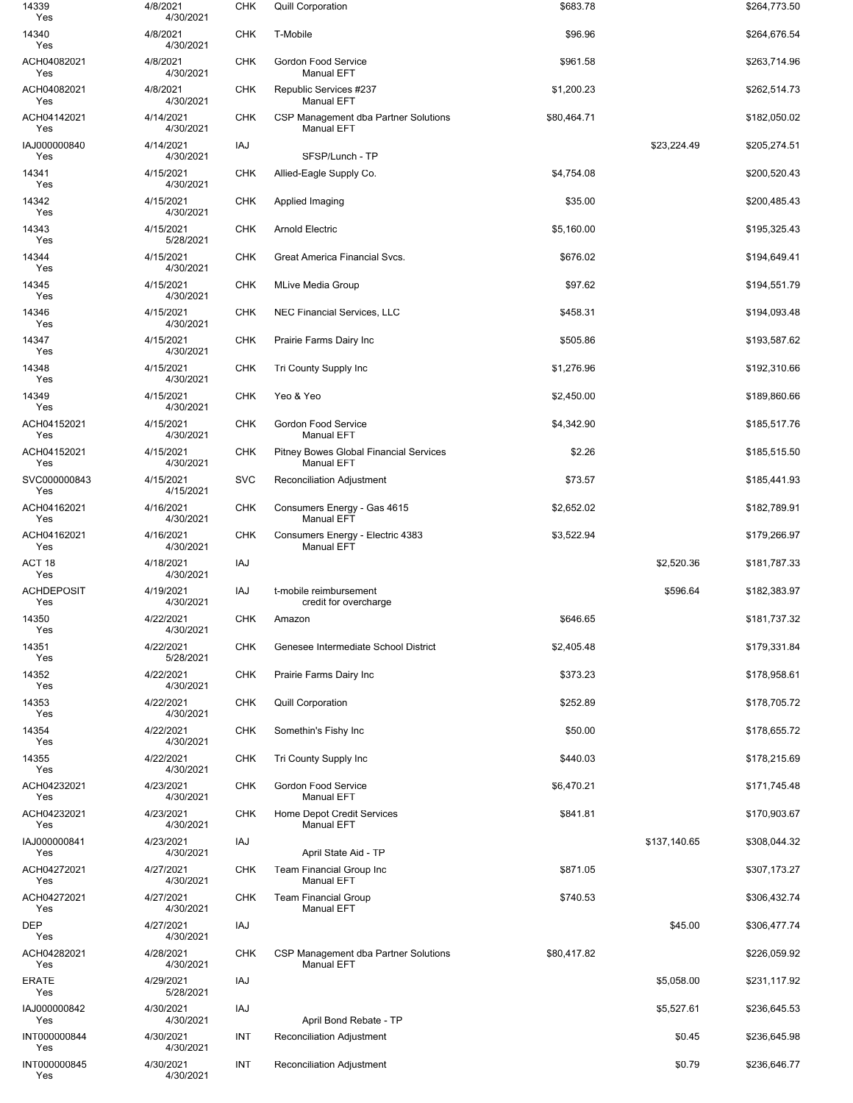| 14339<br>Yes             | 4/8/2021<br>4/30/2021  | <b>CHK</b> | <b>Quill Corporation</b>                                    | \$683.78    |              | \$264,773.50 |
|--------------------------|------------------------|------------|-------------------------------------------------------------|-------------|--------------|--------------|
| 14340<br>Yes             | 4/8/2021<br>4/30/2021  | <b>CHK</b> | T-Mobile                                                    | \$96.96     |              | \$264,676.54 |
| ACH04082021<br>Yes       | 4/8/2021<br>4/30/2021  | <b>CHK</b> | Gordon Food Service<br><b>Manual EFT</b>                    | \$961.58    |              | \$263,714.96 |
| ACH04082021<br>Yes       | 4/8/2021<br>4/30/2021  | <b>CHK</b> | Republic Services #237<br><b>Manual EFT</b>                 | \$1,200.23  |              | \$262,514.73 |
| ACH04142021<br>Yes       | 4/14/2021<br>4/30/2021 | <b>CHK</b> | CSP Management dba Partner Solutions<br><b>Manual EFT</b>   | \$80,464.71 |              | \$182,050.02 |
| IAJ000000840<br>Yes      | 4/14/2021<br>4/30/2021 | IAJ        | SFSP/Lunch - TP                                             |             | \$23,224.49  | \$205,274.51 |
| 14341<br>Yes             | 4/15/2021<br>4/30/2021 | <b>CHK</b> | Allied-Eagle Supply Co.                                     | \$4,754.08  |              | \$200,520.43 |
| 14342<br>Yes             | 4/15/2021<br>4/30/2021 | <b>CHK</b> | Applied Imaging                                             | \$35.00     |              | \$200,485.43 |
| 14343<br>Yes             | 4/15/2021<br>5/28/2021 | <b>CHK</b> | <b>Arnold Electric</b>                                      | \$5,160.00  |              | \$195,325.43 |
| 14344<br>Yes             | 4/15/2021<br>4/30/2021 | <b>CHK</b> | Great America Financial Svcs.                               | \$676.02    |              | \$194,649.41 |
| 14345<br>Yes             | 4/15/2021<br>4/30/2021 | <b>CHK</b> | <b>MLive Media Group</b>                                    | \$97.62     |              | \$194,551.79 |
| 14346<br>Yes             | 4/15/2021<br>4/30/2021 | <b>CHK</b> | <b>NEC Financial Services, LLC</b>                          | \$458.31    |              | \$194,093.48 |
| 14347<br>Yes             | 4/15/2021<br>4/30/2021 | <b>CHK</b> | Prairie Farms Dairy Inc                                     | \$505.86    |              | \$193,587.62 |
| 14348<br>Yes             | 4/15/2021<br>4/30/2021 | <b>CHK</b> | Tri County Supply Inc                                       | \$1,276.96  |              | \$192,310.66 |
| 14349<br>Yes             | 4/15/2021<br>4/30/2021 | <b>CHK</b> | Yeo & Yeo                                                   | \$2,450.00  |              | \$189,860.66 |
| ACH04152021<br>Yes       | 4/15/2021<br>4/30/2021 | <b>CHK</b> | Gordon Food Service<br><b>Manual EFT</b>                    | \$4,342.90  |              | \$185,517.76 |
| ACH04152021<br>Yes       | 4/15/2021<br>4/30/2021 | <b>CHK</b> | Pitney Bowes Global Financial Services<br><b>Manual EFT</b> | \$2.26      |              | \$185,515.50 |
| SVC000000843<br>Yes      | 4/15/2021<br>4/15/2021 | <b>SVC</b> | Reconciliation Adjustment                                   | \$73.57     |              | \$185,441.93 |
| ACH04162021<br>Yes       | 4/16/2021<br>4/30/2021 | <b>CHK</b> | Consumers Energy - Gas 4615<br><b>Manual EFT</b>            | \$2,652.02  |              | \$182,789.91 |
| ACH04162021<br>Yes       | 4/16/2021<br>4/30/2021 | <b>CHK</b> | Consumers Energy - Electric 4383<br><b>Manual EFT</b>       | \$3,522.94  |              | \$179,266.97 |
| ACT <sub>18</sub><br>Yes | 4/18/2021<br>4/30/2021 | IAJ        |                                                             |             | \$2,520.36   | \$181,787.33 |
| <b>ACHDEPOSIT</b><br>Yes | 4/19/2021<br>4/30/2021 | <b>IAJ</b> | t-mobile reimbursement<br>credit for overcharge             |             | \$596.64     | \$182,383.97 |
| 14350<br>Yes             | 4/22/2021<br>4/30/2021 | <b>CHK</b> | Amazon                                                      | \$646.65    |              | \$181,737.32 |
| 14351<br>Yes             | 4/22/2021<br>5/28/2021 | <b>CHK</b> | Genesee Intermediate School District                        | \$2,405.48  |              | \$179,331.84 |
| 14352<br>Yes             | 4/22/2021<br>4/30/2021 | <b>CHK</b> | Prairie Farms Dairy Inc                                     | \$373.23    |              | \$178,958.61 |
| 14353<br>Yes             | 4/22/2021<br>4/30/2021 | CHK        | <b>Quill Corporation</b>                                    | \$252.89    |              | \$178,705.72 |
| 14354<br>Yes             | 4/22/2021<br>4/30/2021 | <b>CHK</b> | Somethin's Fishy Inc                                        | \$50.00     |              | \$178,655.72 |
| 14355<br>Yes             | 4/22/2021<br>4/30/2021 | <b>CHK</b> | Tri County Supply Inc                                       | \$440.03    |              | \$178,215.69 |
| ACH04232021<br>Yes       | 4/23/2021<br>4/30/2021 | CHK        | Gordon Food Service<br><b>Manual EFT</b>                    | \$6,470.21  |              | \$171,745.48 |
| ACH04232021<br>Yes       | 4/23/2021<br>4/30/2021 | <b>CHK</b> | <b>Home Depot Credit Services</b><br><b>Manual EFT</b>      | \$841.81    |              | \$170,903.67 |
| IAJ000000841<br>Yes      | 4/23/2021<br>4/30/2021 | IAJ        | April State Aid - TP                                        |             | \$137,140.65 | \$308,044.32 |
| ACH04272021<br>Yes       | 4/27/2021<br>4/30/2021 | <b>CHK</b> | Team Financial Group Inc<br><b>Manual EFT</b>               | \$871.05    |              | \$307,173.27 |
| ACH04272021<br>Yes       | 4/27/2021<br>4/30/2021 | <b>CHK</b> | <b>Team Financial Group</b><br><b>Manual EFT</b>            | \$740.53    |              | \$306,432.74 |
| <b>DEP</b><br>Yes        | 4/27/2021<br>4/30/2021 | IAJ        |                                                             |             | \$45.00      | \$306,477.74 |
| ACH04282021<br>Yes       | 4/28/2021<br>4/30/2021 | <b>CHK</b> | CSP Management dba Partner Solutions<br><b>Manual EFT</b>   | \$80,417.82 |              | \$226,059.92 |
| <b>ERATE</b><br>Yes      | 4/29/2021<br>5/28/2021 | IAJ        |                                                             |             | \$5,058.00   | \$231,117.92 |
| IAJ000000842<br>Yes      | 4/30/2021<br>4/30/2021 | IAJ        | April Bond Rebate - TP                                      |             | \$5,527.61   | \$236,645.53 |
| INT000000844<br>Yes      | 4/30/2021<br>4/30/2021 | INT        | Reconciliation Adjustment                                   |             | \$0.45       | \$236,645.98 |
| INT000000845<br>Yes      | 4/30/2021<br>4/30/2021 | INT        | Reconciliation Adjustment                                   |             | \$0.79       | \$236,646.77 |
|                          |                        |            |                                                             |             |              |              |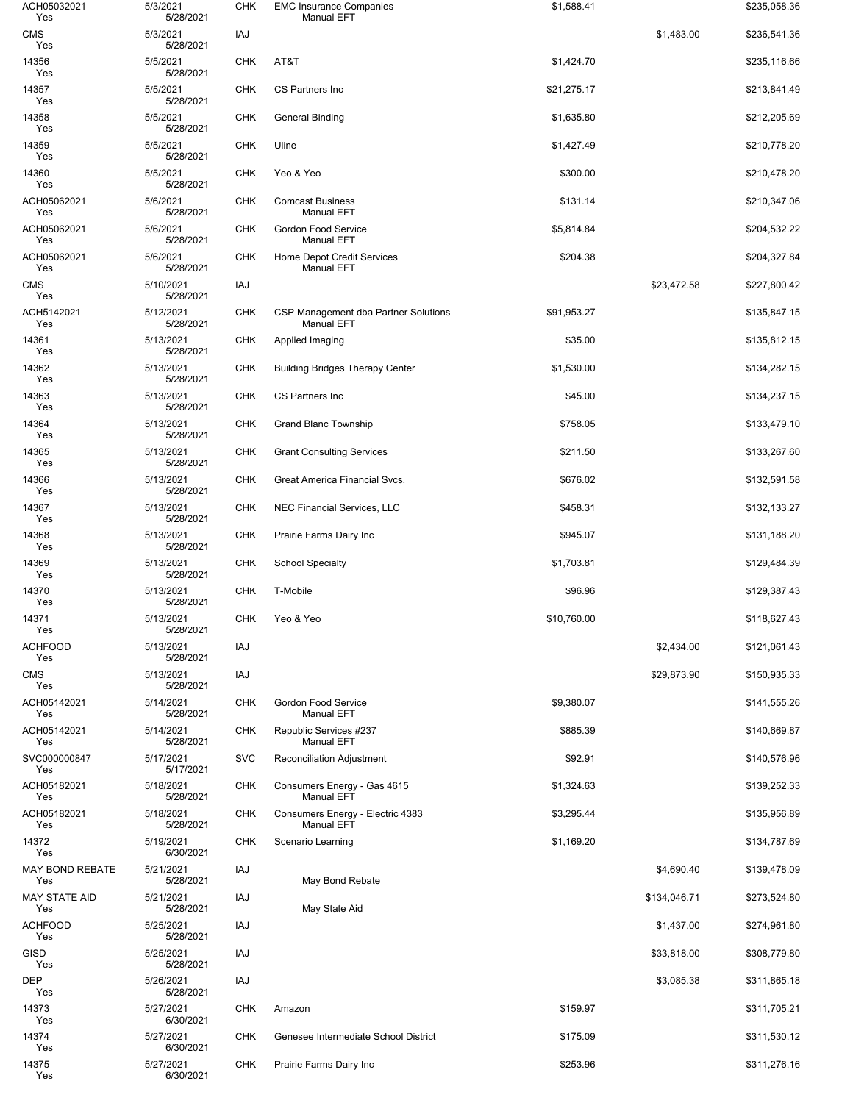| ACH05032021<br>Yes            | 5/3/2021<br>5/28/2021  | <b>CHK</b> | <b>EMC Insurance Companies</b><br><b>Manual EFT</b>       | \$1,588.41  |              | \$235,058.36 |
|-------------------------------|------------------------|------------|-----------------------------------------------------------|-------------|--------------|--------------|
| <b>CMS</b><br>Yes             | 5/3/2021<br>5/28/2021  | IAJ        |                                                           |             | \$1,483.00   | \$236,541.36 |
| 14356<br>Yes                  | 5/5/2021<br>5/28/2021  | <b>CHK</b> | AT&T                                                      | \$1,424.70  |              | \$235,116.66 |
| 14357<br>Yes                  | 5/5/2021<br>5/28/2021  | <b>CHK</b> | <b>CS Partners Inc</b>                                    | \$21,275.17 |              | \$213,841.49 |
| 14358<br>Yes                  | 5/5/2021<br>5/28/2021  | CHK        | General Binding                                           | \$1,635.80  |              | \$212,205.69 |
| 14359<br>Yes                  | 5/5/2021<br>5/28/2021  | <b>CHK</b> | Uline                                                     | \$1,427.49  |              | \$210,778.20 |
| 14360<br>Yes                  | 5/5/2021<br>5/28/2021  | <b>CHK</b> | Yeo & Yeo                                                 | \$300.00    |              | \$210,478.20 |
| ACH05062021<br>Yes            | 5/6/2021<br>5/28/2021  | <b>CHK</b> | <b>Comcast Business</b><br><b>Manual EFT</b>              | \$131.14    |              | \$210,347.06 |
| ACH05062021<br>Yes            | 5/6/2021<br>5/28/2021  | <b>CHK</b> | <b>Gordon Food Service</b><br><b>Manual EFT</b>           | \$5,814.84  |              | \$204,532.22 |
| ACH05062021<br>Yes            | 5/6/2021<br>5/28/2021  | <b>CHK</b> | <b>Home Depot Credit Services</b><br><b>Manual EFT</b>    | \$204.38    |              | \$204,327.84 |
| <b>CMS</b><br>Yes             | 5/10/2021<br>5/28/2021 | IAJ        |                                                           |             | \$23,472.58  | \$227,800.42 |
| ACH5142021<br>Yes             | 5/12/2021<br>5/28/2021 | <b>CHK</b> | CSP Management dba Partner Solutions<br><b>Manual EFT</b> | \$91,953.27 |              | \$135,847.15 |
| 14361<br>Yes                  | 5/13/2021<br>5/28/2021 | <b>CHK</b> | Applied Imaging                                           | \$35.00     |              | \$135,812.15 |
| 14362<br>Yes                  | 5/13/2021<br>5/28/2021 | <b>CHK</b> | <b>Building Bridges Therapy Center</b>                    | \$1,530.00  |              | \$134,282.15 |
| 14363<br>Yes                  | 5/13/2021<br>5/28/2021 | <b>CHK</b> | <b>CS Partners Inc</b>                                    | \$45.00     |              | \$134,237.15 |
| 14364<br>Yes                  | 5/13/2021<br>5/28/2021 | <b>CHK</b> | <b>Grand Blanc Township</b>                               | \$758.05    |              | \$133,479.10 |
| 14365<br>Yes                  | 5/13/2021<br>5/28/2021 | <b>CHK</b> | <b>Grant Consulting Services</b>                          | \$211.50    |              | \$133,267.60 |
| 14366<br>Yes                  | 5/13/2021<br>5/28/2021 | <b>CHK</b> | Great America Financial Svcs.                             | \$676.02    |              | \$132,591.58 |
| 14367<br>Yes                  | 5/13/2021<br>5/28/2021 | <b>CHK</b> | NEC Financial Services, LLC                               | \$458.31    |              | \$132,133.27 |
| 14368<br>Yes                  | 5/13/2021<br>5/28/2021 | CHK        | Prairie Farms Dairy Inc                                   | \$945.07    |              | \$131,188.20 |
| 14369<br>Yes                  | 5/13/2021<br>5/28/2021 | <b>CHK</b> | <b>School Specialty</b>                                   | \$1,703.81  |              | \$129,484.39 |
| 14370<br>Yes                  | 5/13/2021<br>5/28/2021 | <b>CHK</b> | T-Mobile                                                  | \$96.96     |              | \$129,387.43 |
| 14371<br>Yes                  | 5/13/2021<br>5/28/2021 | CHK        | Yeo & Yeo                                                 | \$10,760.00 |              | \$118,627.43 |
| <b>ACHFOOD</b><br>Yes         | 5/13/2021<br>5/28/2021 | IAJ        |                                                           |             | \$2,434.00   | \$121,061.43 |
| <b>CMS</b><br>Yes             | 5/13/2021<br>5/28/2021 | IAJ        |                                                           |             | \$29,873.90  | \$150,935.33 |
| ACH05142021<br>Yes            | 5/14/2021<br>5/28/2021 | <b>CHK</b> | Gordon Food Service<br><b>Manual EFT</b>                  | \$9,380.07  |              | \$141,555.26 |
| ACH05142021<br>Yes            | 5/14/2021<br>5/28/2021 | <b>CHK</b> | Republic Services #237<br><b>Manual EFT</b>               | \$885.39    |              | \$140,669.87 |
| SVC000000847<br>Yes           | 5/17/2021<br>5/17/2021 | <b>SVC</b> | <b>Reconciliation Adjustment</b>                          | \$92.91     |              | \$140,576.96 |
| ACH05182021<br>Yes            | 5/18/2021<br>5/28/2021 | <b>CHK</b> | Consumers Energy - Gas 4615<br><b>Manual EFT</b>          | \$1,324.63  |              | \$139,252.33 |
| ACH05182021<br>Yes            | 5/18/2021<br>5/28/2021 | <b>CHK</b> | Consumers Energy - Electric 4383<br><b>Manual EFT</b>     | \$3,295.44  |              | \$135,956.89 |
| 14372<br>Yes                  | 5/19/2021<br>6/30/2021 | <b>CHK</b> | Scenario Learning                                         | \$1,169.20  |              | \$134,787.69 |
| <b>MAY BOND REBATE</b><br>Yes | 5/21/2021<br>5/28/2021 | IAJ        | May Bond Rebate                                           |             | \$4,690.40   | \$139,478.09 |
| <b>MAY STATE AID</b><br>Yes   | 5/21/2021<br>5/28/2021 | IAJ        | May State Aid                                             |             | \$134,046.71 | \$273,524.80 |
| <b>ACHFOOD</b><br>Yes         | 5/25/2021<br>5/28/2021 | IAJ        |                                                           |             | \$1,437.00   | \$274,961.80 |
| <b>GISD</b><br>Yes            | 5/25/2021<br>5/28/2021 | IAJ        |                                                           |             | \$33,818.00  | \$308,779.80 |
| DEP<br>Yes                    | 5/26/2021<br>5/28/2021 | IAJ        |                                                           |             | \$3,085.38   | \$311,865.18 |
| 14373<br>Yes                  | 5/27/2021<br>6/30/2021 | <b>CHK</b> | Amazon                                                    | \$159.97    |              | \$311,705.21 |
| 14374<br>Yes                  | 5/27/2021<br>6/30/2021 | <b>CHK</b> | Genesee Intermediate School District                      | \$175.09    |              | \$311,530.12 |
| 14375<br>Yes                  | 5/27/2021<br>6/30/2021 | <b>CHK</b> | Prairie Farms Dairy Inc                                   | \$253.96    |              | \$311,276.16 |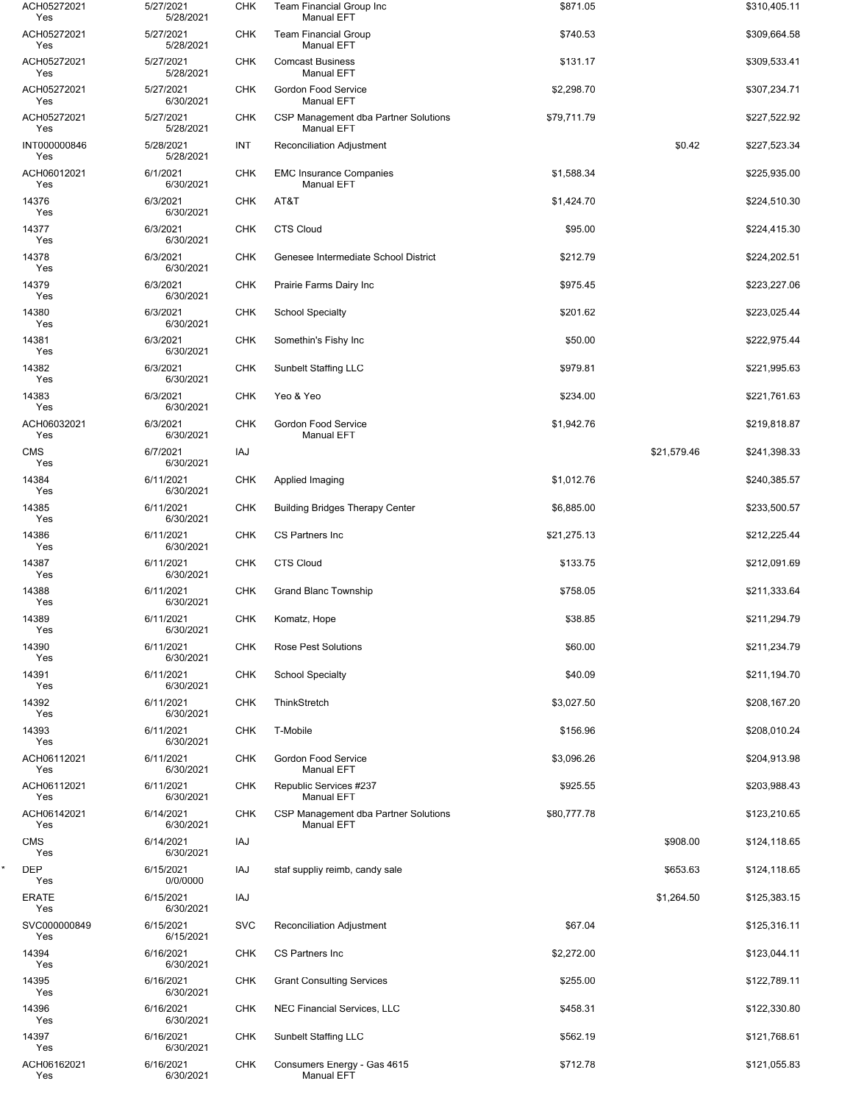| ACH05272021<br>Yes  | 5/27/2021<br>5/28/2021 | <b>CHK</b> | Team Financial Group Inc<br><b>Manual EFT</b>             | \$871.05    |             | \$310,405.11 |
|---------------------|------------------------|------------|-----------------------------------------------------------|-------------|-------------|--------------|
| ACH05272021<br>Yes  | 5/27/2021<br>5/28/2021 | <b>CHK</b> | <b>Team Financial Group</b><br><b>Manual EFT</b>          | \$740.53    |             | \$309,664.58 |
| ACH05272021<br>Yes  | 5/27/2021<br>5/28/2021 | <b>CHK</b> | <b>Comcast Business</b><br><b>Manual EFT</b>              | \$131.17    |             | \$309,533.41 |
| ACH05272021<br>Yes  | 5/27/2021<br>6/30/2021 | <b>CHK</b> | Gordon Food Service<br><b>Manual EFT</b>                  | \$2,298.70  |             | \$307,234.71 |
| ACH05272021<br>Yes  | 5/27/2021<br>5/28/2021 | <b>CHK</b> | CSP Management dba Partner Solutions<br><b>Manual EFT</b> | \$79,711.79 |             | \$227,522.92 |
| INT000000846<br>Yes | 5/28/2021<br>5/28/2021 | INT        | <b>Reconciliation Adjustment</b>                          |             | \$0.42      | \$227,523.34 |
| ACH06012021<br>Yes  | 6/1/2021<br>6/30/2021  | <b>CHK</b> | <b>EMC Insurance Companies</b><br><b>Manual EFT</b>       | \$1,588.34  |             | \$225,935.00 |
| 14376<br>Yes        | 6/3/2021<br>6/30/2021  | <b>CHK</b> | AT&T                                                      | \$1,424.70  |             | \$224,510.30 |
| 14377<br>Yes        | 6/3/2021<br>6/30/2021  | <b>CHK</b> | <b>CTS Cloud</b>                                          | \$95.00     |             | \$224,415.30 |
| 14378<br>Yes        | 6/3/2021<br>6/30/2021  | <b>CHK</b> | Genesee Intermediate School District                      | \$212.79    |             | \$224,202.51 |
| 14379<br>Yes        | 6/3/2021<br>6/30/2021  | <b>CHK</b> | Prairie Farms Dairy Inc                                   | \$975.45    |             | \$223,227.06 |
| 14380<br>Yes        | 6/3/2021<br>6/30/2021  | <b>CHK</b> | <b>School Specialty</b>                                   | \$201.62    |             | \$223,025.44 |
| 14381<br>Yes        | 6/3/2021<br>6/30/2021  | <b>CHK</b> | Somethin's Fishy Inc                                      | \$50.00     |             | \$222,975.44 |
| 14382<br>Yes        | 6/3/2021<br>6/30/2021  | <b>CHK</b> | <b>Sunbelt Staffing LLC</b>                               | \$979.81    |             | \$221,995.63 |
| 14383<br>Yes        | 6/3/2021<br>6/30/2021  | <b>CHK</b> | Yeo & Yeo                                                 | \$234.00    |             | \$221,761.63 |
| ACH06032021<br>Yes  | 6/3/2021<br>6/30/2021  | <b>CHK</b> | Gordon Food Service<br><b>Manual EFT</b>                  | \$1,942.76  |             | \$219,818.87 |
| <b>CMS</b><br>Yes   | 6/7/2021<br>6/30/2021  | IAJ        |                                                           |             | \$21,579.46 | \$241,398.33 |
| 14384<br>Yes        | 6/11/2021<br>6/30/2021 | <b>CHK</b> | Applied Imaging                                           | \$1,012.76  |             | \$240,385.57 |
| 14385<br>Yes        | 6/11/2021<br>6/30/2021 | <b>CHK</b> | <b>Building Bridges Therapy Center</b>                    | \$6,885.00  |             | \$233,500.57 |
| 14386<br>Yes        | 6/11/2021<br>6/30/2021 | <b>CHK</b> | CS Partners Inc                                           | \$21,275.13 |             | \$212,225.44 |
| 14387<br>Yes        | 6/11/2021<br>6/30/2021 | <b>CHK</b> | <b>CTS Cloud</b>                                          | \$133.75    |             | \$212,091.69 |
| 14388<br>Yes        | 6/11/2021<br>6/30/2021 | <b>CHK</b> | <b>Grand Blanc Township</b>                               | \$758.05    |             | \$211,333.64 |
| 14389<br>Yes        | 6/11/2021<br>6/30/2021 | <b>CHK</b> | Komatz, Hope                                              | \$38.85     |             | \$211,294.79 |
| 14390<br>Yes        | 6/11/2021<br>6/30/2021 | <b>CHK</b> | <b>Rose Pest Solutions</b>                                | \$60.00     |             | \$211,234.79 |
| 14391<br>Yes        | 6/11/2021<br>6/30/2021 | <b>CHK</b> | <b>School Specialty</b>                                   | \$40.09     |             | \$211,194.70 |
| 14392<br>Yes        | 6/11/2021<br>6/30/2021 | <b>CHK</b> | ThinkStretch                                              | \$3,027.50  |             | \$208,167.20 |
| 14393<br>Yes        | 6/11/2021<br>6/30/2021 | <b>CHK</b> | T-Mobile                                                  | \$156.96    |             | \$208,010.24 |
| ACH06112021<br>Yes  | 6/11/2021<br>6/30/2021 | <b>CHK</b> | <b>Gordon Food Service</b><br><b>Manual EFT</b>           | \$3,096.26  |             | \$204,913.98 |
| ACH06112021<br>Yes  | 6/11/2021<br>6/30/2021 | <b>CHK</b> | Republic Services #237<br><b>Manual EFT</b>               | \$925.55    |             | \$203,988.43 |
| ACH06142021<br>Yes  | 6/14/2021<br>6/30/2021 | <b>CHK</b> | CSP Management dba Partner Solutions<br><b>Manual EFT</b> | \$80,777.78 |             | \$123,210.65 |
| <b>CMS</b><br>Yes   | 6/14/2021<br>6/30/2021 | IAJ        |                                                           |             | \$908.00    | \$124,118.65 |
| <b>DEP</b><br>Yes   | 6/15/2021<br>0/0/0000  | IAJ        | staf suppliy reimb, candy sale                            |             | \$653.63    | \$124,118.65 |
| <b>ERATE</b><br>Yes | 6/15/2021<br>6/30/2021 | IAJ        |                                                           |             | \$1,264.50  | \$125,383.15 |
| SVC000000849<br>Yes | 6/15/2021<br>6/15/2021 | <b>SVC</b> | Reconciliation Adjustment                                 | \$67.04     |             | \$125,316.11 |
| 14394<br>Yes        | 6/16/2021<br>6/30/2021 | <b>CHK</b> | CS Partners Inc                                           | \$2,272.00  |             | \$123,044.11 |
| 14395<br>Yes        | 6/16/2021<br>6/30/2021 | <b>CHK</b> | <b>Grant Consulting Services</b>                          | \$255.00    |             | \$122,789.11 |
| 14396<br>Yes        | 6/16/2021<br>6/30/2021 | <b>CHK</b> | <b>NEC Financial Services, LLC</b>                        | \$458.31    |             | \$122,330.80 |
| 14397<br>Yes        | 6/16/2021<br>6/30/2021 | <b>CHK</b> | Sunbelt Staffing LLC                                      | \$562.19    |             | \$121,768.61 |
| ACH06162021<br>Yes  | 6/16/2021<br>6/30/2021 | <b>CHK</b> | Consumers Energy - Gas 4615<br><b>Manual EFT</b>          | \$712.78    |             | \$121,055.83 |